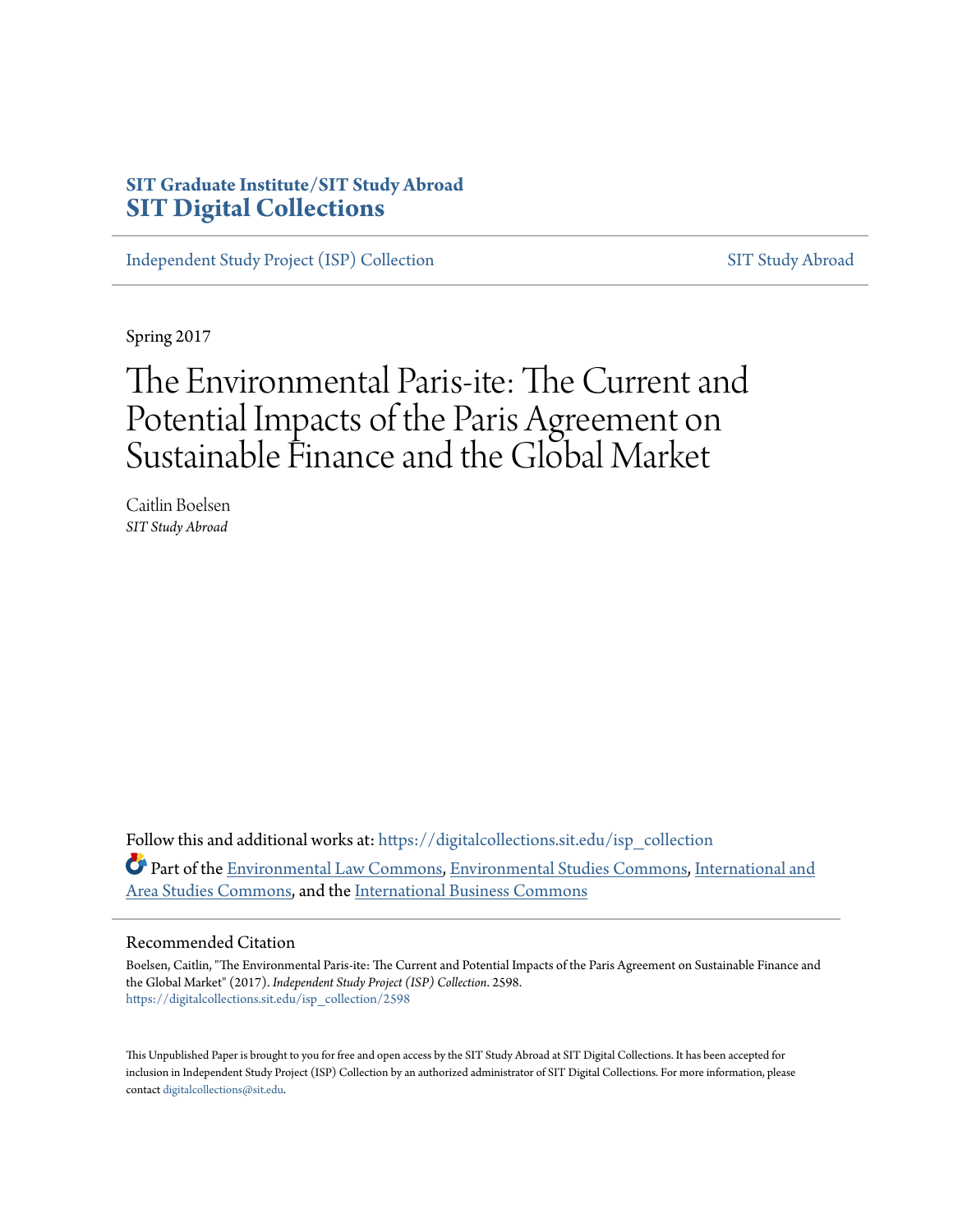# **SIT Graduate Institute/SIT Study Abroad [SIT Digital Collections](https://digitalcollections.sit.edu?utm_source=digitalcollections.sit.edu%2Fisp_collection%2F2598&utm_medium=PDF&utm_campaign=PDFCoverPages)**

[Independent Study Project \(ISP\) Collection](https://digitalcollections.sit.edu/isp_collection?utm_source=digitalcollections.sit.edu%2Fisp_collection%2F2598&utm_medium=PDF&utm_campaign=PDFCoverPages) [SIT Study Abroad](https://digitalcollections.sit.edu/study_abroad?utm_source=digitalcollections.sit.edu%2Fisp_collection%2F2598&utm_medium=PDF&utm_campaign=PDFCoverPages)

Spring 2017

# The Environmental Paris-ite: The Current and Potential Impacts of the Paris Agreement on Sustainable Finance and the Global Market

Caitlin Boelsen *SIT Study Abroad*

Follow this and additional works at: [https://digitalcollections.sit.edu/isp\\_collection](https://digitalcollections.sit.edu/isp_collection?utm_source=digitalcollections.sit.edu%2Fisp_collection%2F2598&utm_medium=PDF&utm_campaign=PDFCoverPages) Part of the [Environmental Law Commons](http://network.bepress.com/hgg/discipline/599?utm_source=digitalcollections.sit.edu%2Fisp_collection%2F2598&utm_medium=PDF&utm_campaign=PDFCoverPages), [Environmental Studies Commons,](http://network.bepress.com/hgg/discipline/1333?utm_source=digitalcollections.sit.edu%2Fisp_collection%2F2598&utm_medium=PDF&utm_campaign=PDFCoverPages) [International and](http://network.bepress.com/hgg/discipline/360?utm_source=digitalcollections.sit.edu%2Fisp_collection%2F2598&utm_medium=PDF&utm_campaign=PDFCoverPages) [Area Studies Commons](http://network.bepress.com/hgg/discipline/360?utm_source=digitalcollections.sit.edu%2Fisp_collection%2F2598&utm_medium=PDF&utm_campaign=PDFCoverPages), and the [International Business Commons](http://network.bepress.com/hgg/discipline/634?utm_source=digitalcollections.sit.edu%2Fisp_collection%2F2598&utm_medium=PDF&utm_campaign=PDFCoverPages)

#### Recommended Citation

Boelsen, Caitlin, "The Environmental Paris-ite: The Current and Potential Impacts of the Paris Agreement on Sustainable Finance and the Global Market" (2017). *Independent Study Project (ISP) Collection*. 2598. [https://digitalcollections.sit.edu/isp\\_collection/2598](https://digitalcollections.sit.edu/isp_collection/2598?utm_source=digitalcollections.sit.edu%2Fisp_collection%2F2598&utm_medium=PDF&utm_campaign=PDFCoverPages)

This Unpublished Paper is brought to you for free and open access by the SIT Study Abroad at SIT Digital Collections. It has been accepted for inclusion in Independent Study Project (ISP) Collection by an authorized administrator of SIT Digital Collections. For more information, please contact [digitalcollections@sit.edu](mailto:digitalcollections@sit.edu).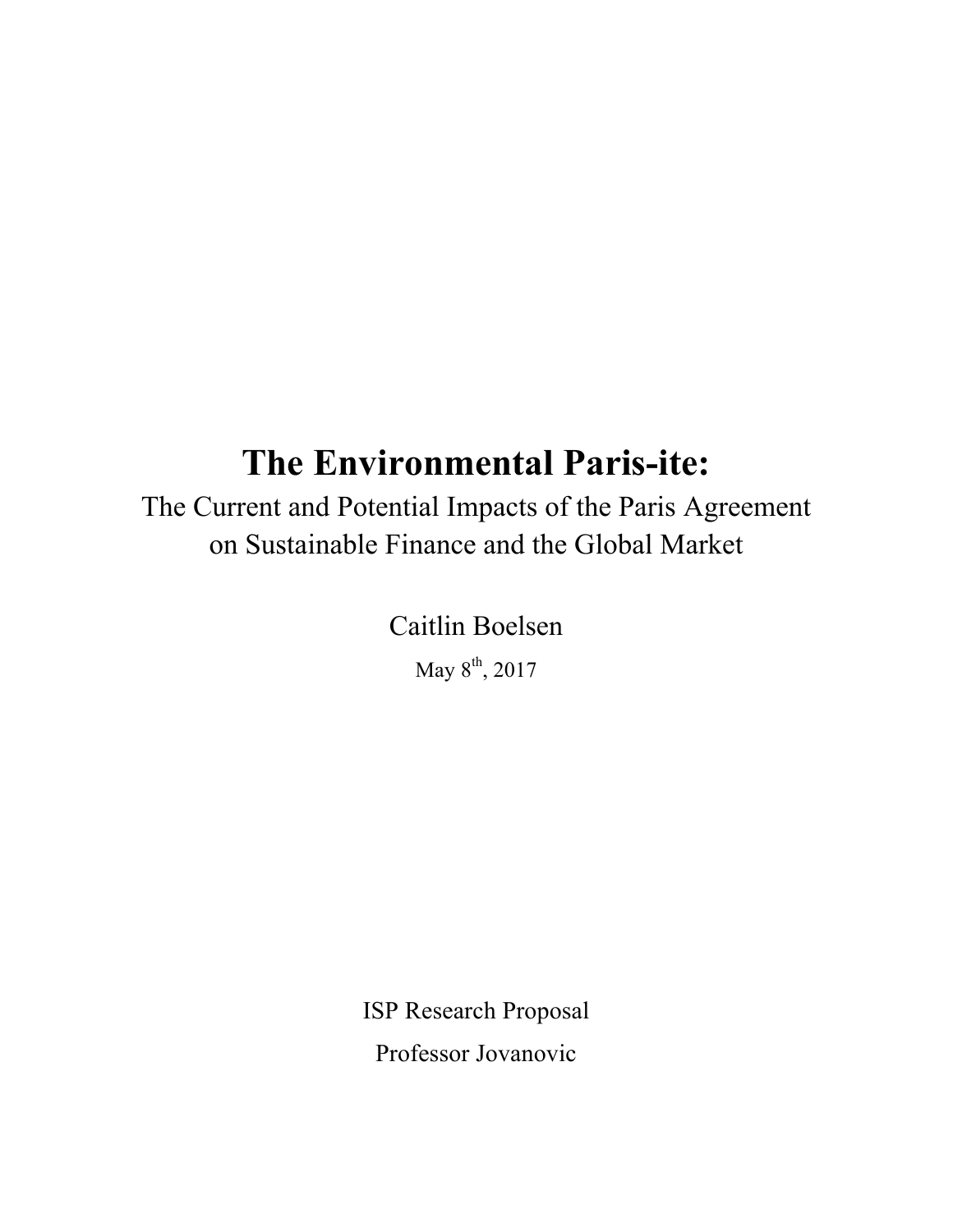# **The Environmental Paris-ite:**

The Current and Potential Impacts of the Paris Agreement on Sustainable Finance and the Global Market

Caitlin Boelsen

May  $8^{\text{th}}$ , 2017

ISP Research Proposal Professor Jovanovic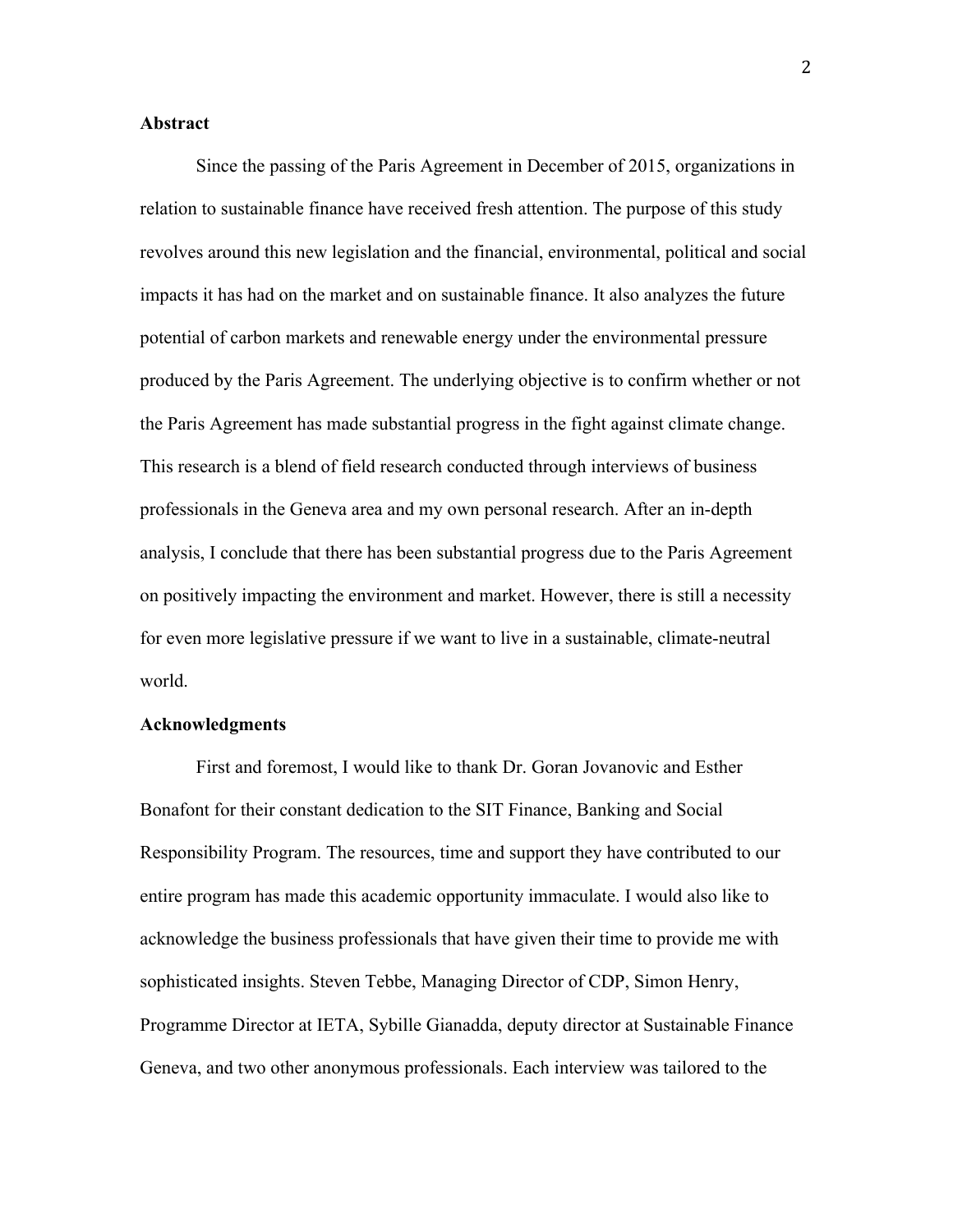### **Abstract**

Since the passing of the Paris Agreement in December of 2015, organizations in relation to sustainable finance have received fresh attention. The purpose of this study revolves around this new legislation and the financial, environmental, political and social impacts it has had on the market and on sustainable finance. It also analyzes the future potential of carbon markets and renewable energy under the environmental pressure produced by the Paris Agreement. The underlying objective is to confirm whether or not the Paris Agreement has made substantial progress in the fight against climate change. This research is a blend of field research conducted through interviews of business professionals in the Geneva area and my own personal research. After an in-depth analysis, I conclude that there has been substantial progress due to the Paris Agreement on positively impacting the environment and market. However, there is still a necessity for even more legislative pressure if we want to live in a sustainable, climate-neutral world.

#### **Acknowledgments**

First and foremost, I would like to thank Dr. Goran Jovanovic and Esther Bonafont for their constant dedication to the SIT Finance, Banking and Social Responsibility Program. The resources, time and support they have contributed to our entire program has made this academic opportunity immaculate. I would also like to acknowledge the business professionals that have given their time to provide me with sophisticated insights. Steven Tebbe, Managing Director of CDP, Simon Henry, Programme Director at IETA, Sybille Gianadda, deputy director at Sustainable Finance Geneva, and two other anonymous professionals. Each interview was tailored to the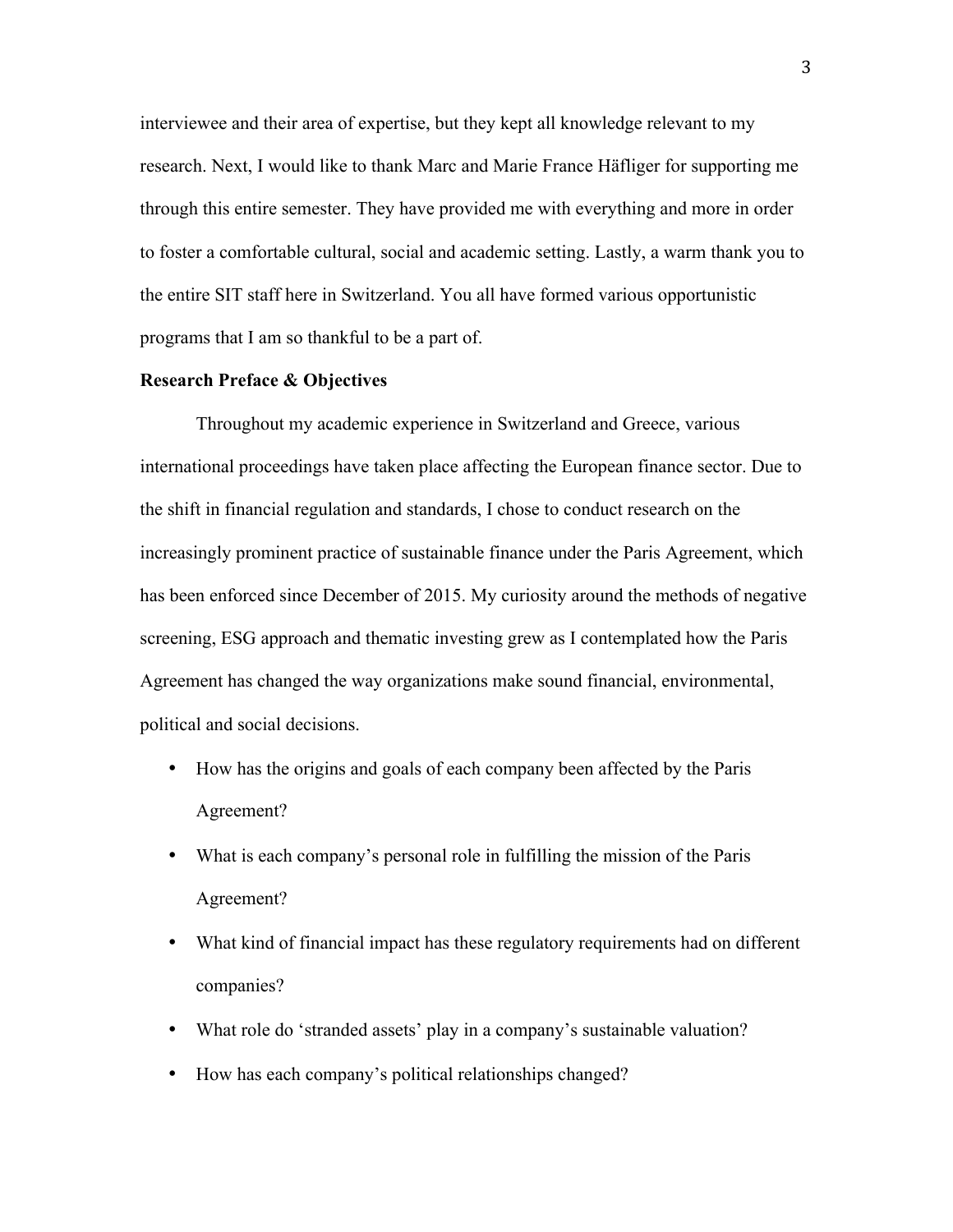interviewee and their area of expertise, but they kept all knowledge relevant to my research. Next, I would like to thank Marc and Marie France Häfliger for supporting me through this entire semester. They have provided me with everything and more in order to foster a comfortable cultural, social and academic setting. Lastly, a warm thank you to the entire SIT staff here in Switzerland. You all have formed various opportunistic programs that I am so thankful to be a part of.

### **Research Preface & Objectives**

Throughout my academic experience in Switzerland and Greece, various international proceedings have taken place affecting the European finance sector. Due to the shift in financial regulation and standards, I chose to conduct research on the increasingly prominent practice of sustainable finance under the Paris Agreement, which has been enforced since December of 2015. My curiosity around the methods of negative screening, ESG approach and thematic investing grew as I contemplated how the Paris Agreement has changed the way organizations make sound financial, environmental, political and social decisions.

- How has the origins and goals of each company been affected by the Paris Agreement?
- What is each company's personal role in fulfilling the mission of the Paris Agreement?
- What kind of financial impact has these regulatory requirements had on different companies?
- What role do 'stranded assets' play in a company's sustainable valuation?
- How has each company's political relationships changed?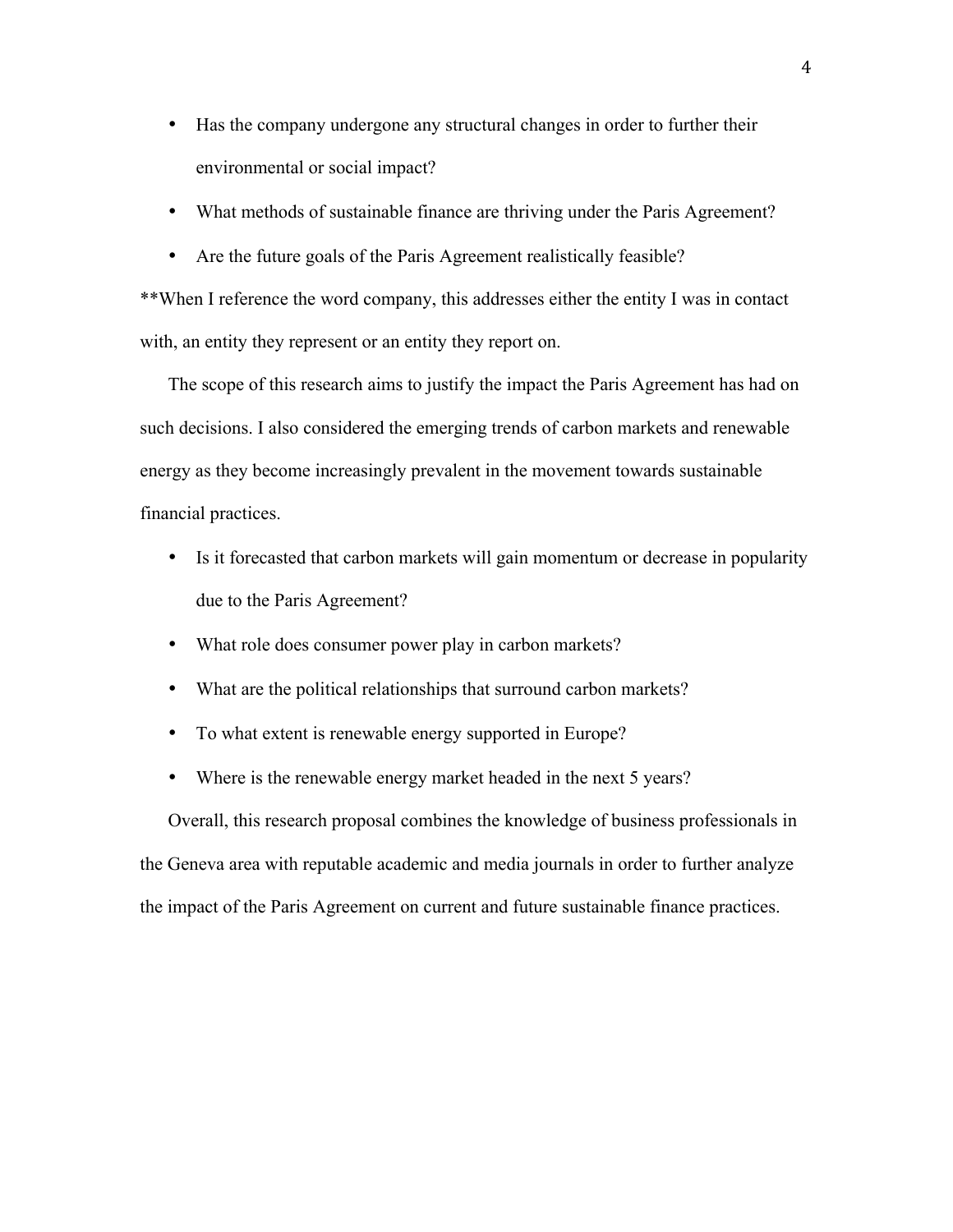- Has the company undergone any structural changes in order to further their environmental or social impact?
- What methods of sustainable finance are thriving under the Paris Agreement?
- Are the future goals of the Paris Agreement realistically feasible?

\*\*When I reference the word company, this addresses either the entity I was in contact with, an entity they represent or an entity they report on.

The scope of this research aims to justify the impact the Paris Agreement has had on such decisions. I also considered the emerging trends of carbon markets and renewable energy as they become increasingly prevalent in the movement towards sustainable financial practices.

- Is it forecasted that carbon markets will gain momentum or decrease in popularity due to the Paris Agreement?
- What role does consumer power play in carbon markets?
- What are the political relationships that surround carbon markets?
- To what extent is renewable energy supported in Europe?
- Where is the renewable energy market headed in the next 5 years?

Overall, this research proposal combines the knowledge of business professionals in the Geneva area with reputable academic and media journals in order to further analyze the impact of the Paris Agreement on current and future sustainable finance practices.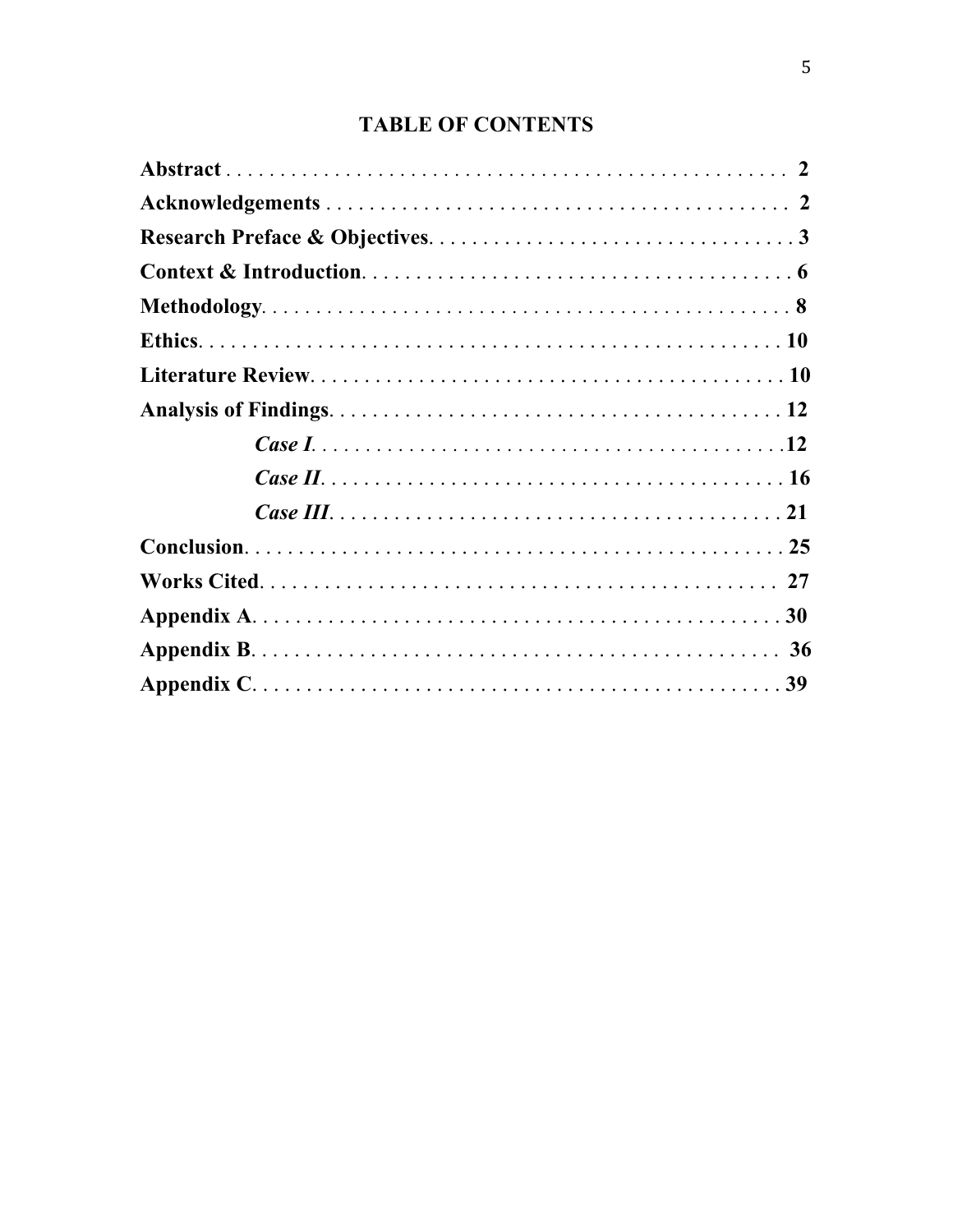# **TABLE OF CONTENTS**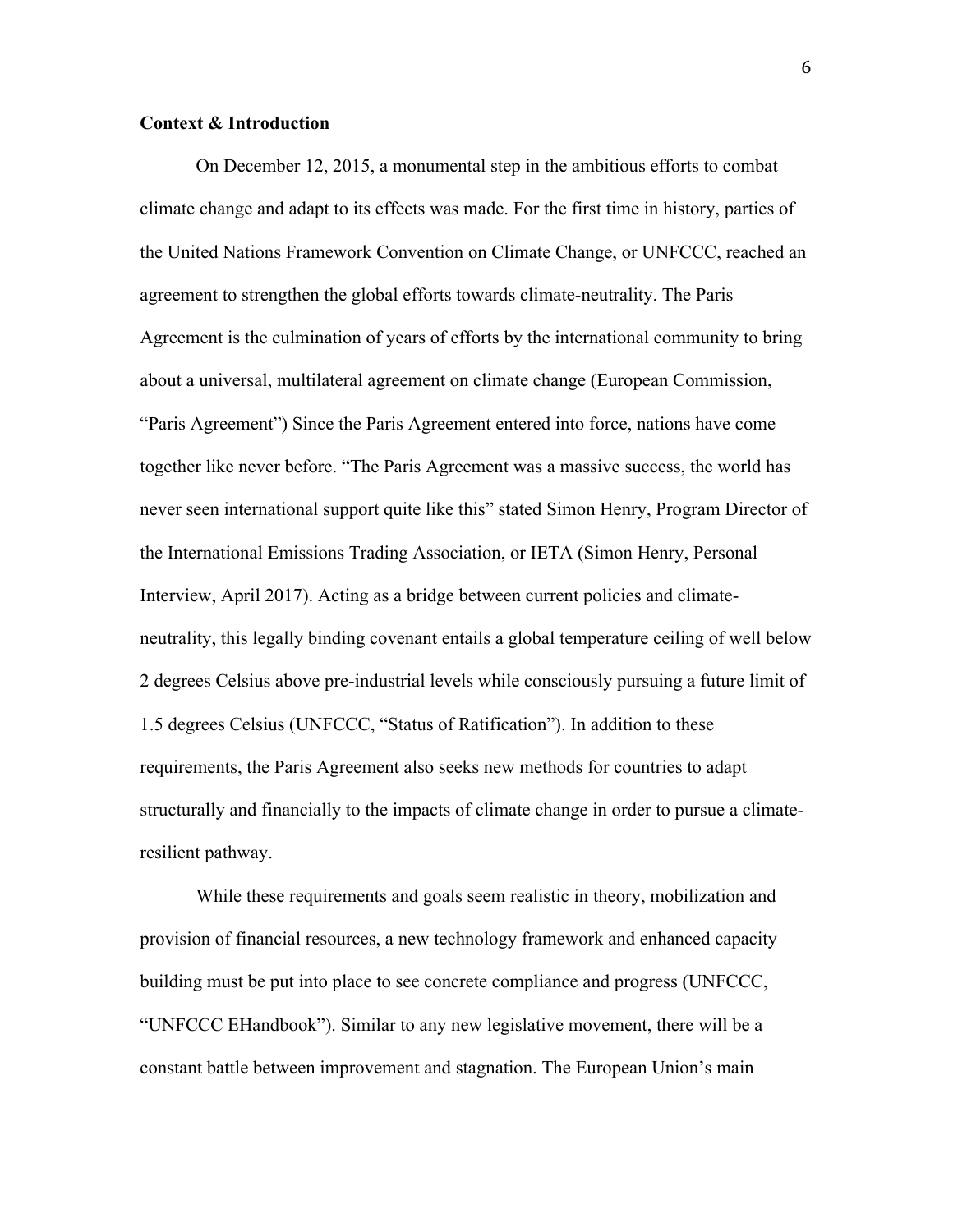### **Context & Introduction**

On December 12, 2015, a monumental step in the ambitious efforts to combat climate change and adapt to its effects was made. For the first time in history, parties of the United Nations Framework Convention on Climate Change, or UNFCCC, reached an agreement to strengthen the global efforts towards climate-neutrality. The Paris Agreement is the culmination of years of efforts by the international community to bring about a universal, multilateral agreement on climate change (European Commission, "Paris Agreement") Since the Paris Agreement entered into force, nations have come together like never before. "The Paris Agreement was a massive success, the world has never seen international support quite like this" stated Simon Henry, Program Director of the International Emissions Trading Association, or IETA (Simon Henry, Personal Interview, April 2017). Acting as a bridge between current policies and climateneutrality, this legally binding covenant entails a global temperature ceiling of well below 2 degrees Celsius above pre-industrial levels while consciously pursuing a future limit of 1.5 degrees Celsius (UNFCCC, "Status of Ratification"). In addition to these requirements, the Paris Agreement also seeks new methods for countries to adapt structurally and financially to the impacts of climate change in order to pursue a climateresilient pathway.

While these requirements and goals seem realistic in theory, mobilization and provision of financial resources, a new technology framework and enhanced capacity building must be put into place to see concrete compliance and progress (UNFCCC, "UNFCCC EHandbook"). Similar to any new legislative movement, there will be a constant battle between improvement and stagnation. The European Union's main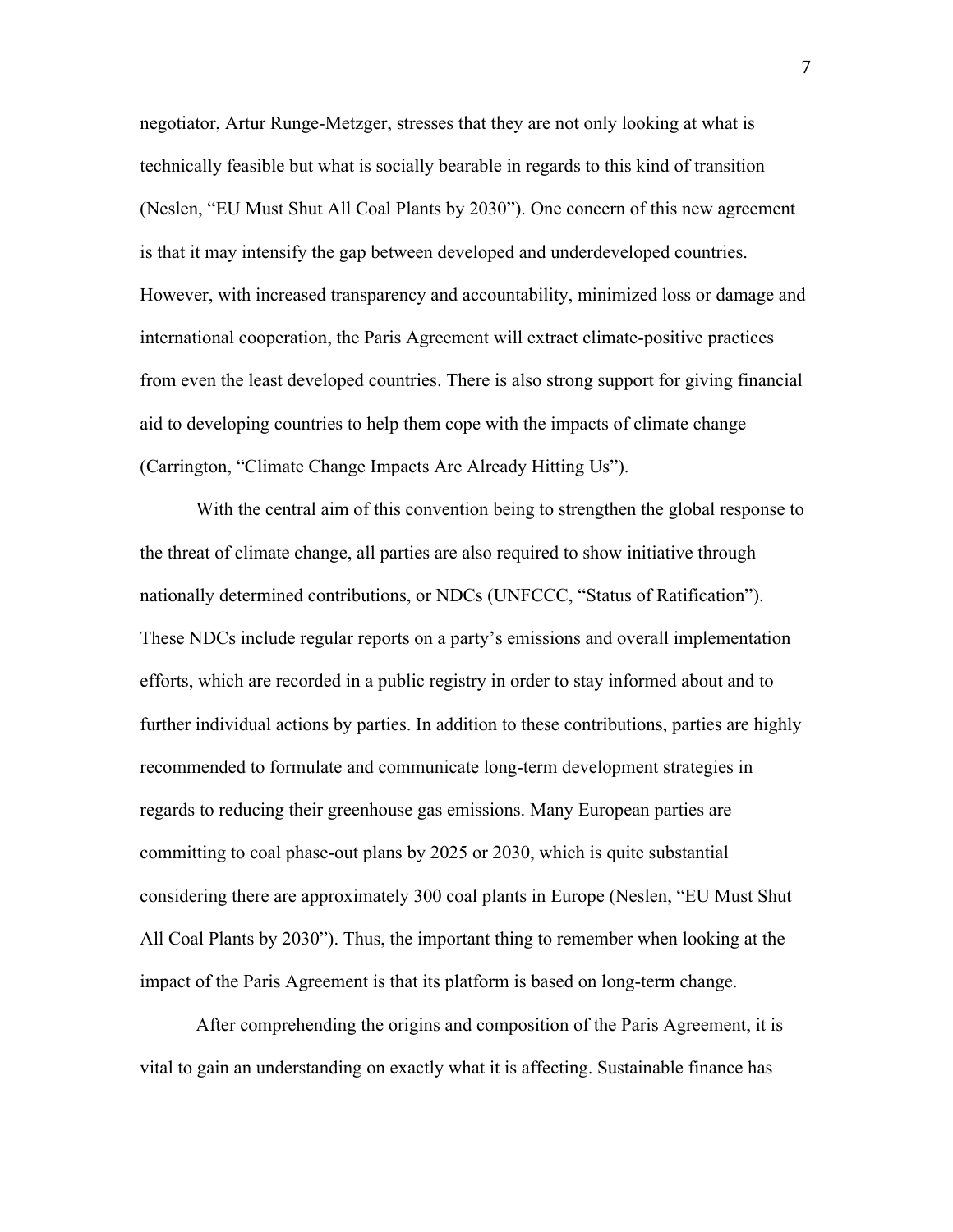negotiator, Artur Runge-Metzger, stresses that they are not only looking at what is technically feasible but what is socially bearable in regards to this kind of transition (Neslen, "EU Must Shut All Coal Plants by 2030"). One concern of this new agreement is that it may intensify the gap between developed and underdeveloped countries. However, with increased transparency and accountability, minimized loss or damage and international cooperation, the Paris Agreement will extract climate-positive practices from even the least developed countries. There is also strong support for giving financial aid to developing countries to help them cope with the impacts of climate change (Carrington, "Climate Change Impacts Are Already Hitting Us").

With the central aim of this convention being to strengthen the global response to the threat of climate change, all parties are also required to show initiative through nationally determined contributions, or NDCs (UNFCCC, "Status of Ratification"). These NDCs include regular reports on a party's emissions and overall implementation efforts, which are recorded in a public registry in order to stay informed about and to further individual actions by parties. In addition to these contributions, parties are highly recommended to formulate and communicate long-term development strategies in regards to reducing their greenhouse gas emissions. Many European parties are committing to coal phase-out plans by 2025 or 2030, which is quite substantial considering there are approximately 300 coal plants in Europe (Neslen, "EU Must Shut All Coal Plants by 2030"). Thus, the important thing to remember when looking at the impact of the Paris Agreement is that its platform is based on long-term change.

After comprehending the origins and composition of the Paris Agreement, it is vital to gain an understanding on exactly what it is affecting. Sustainable finance has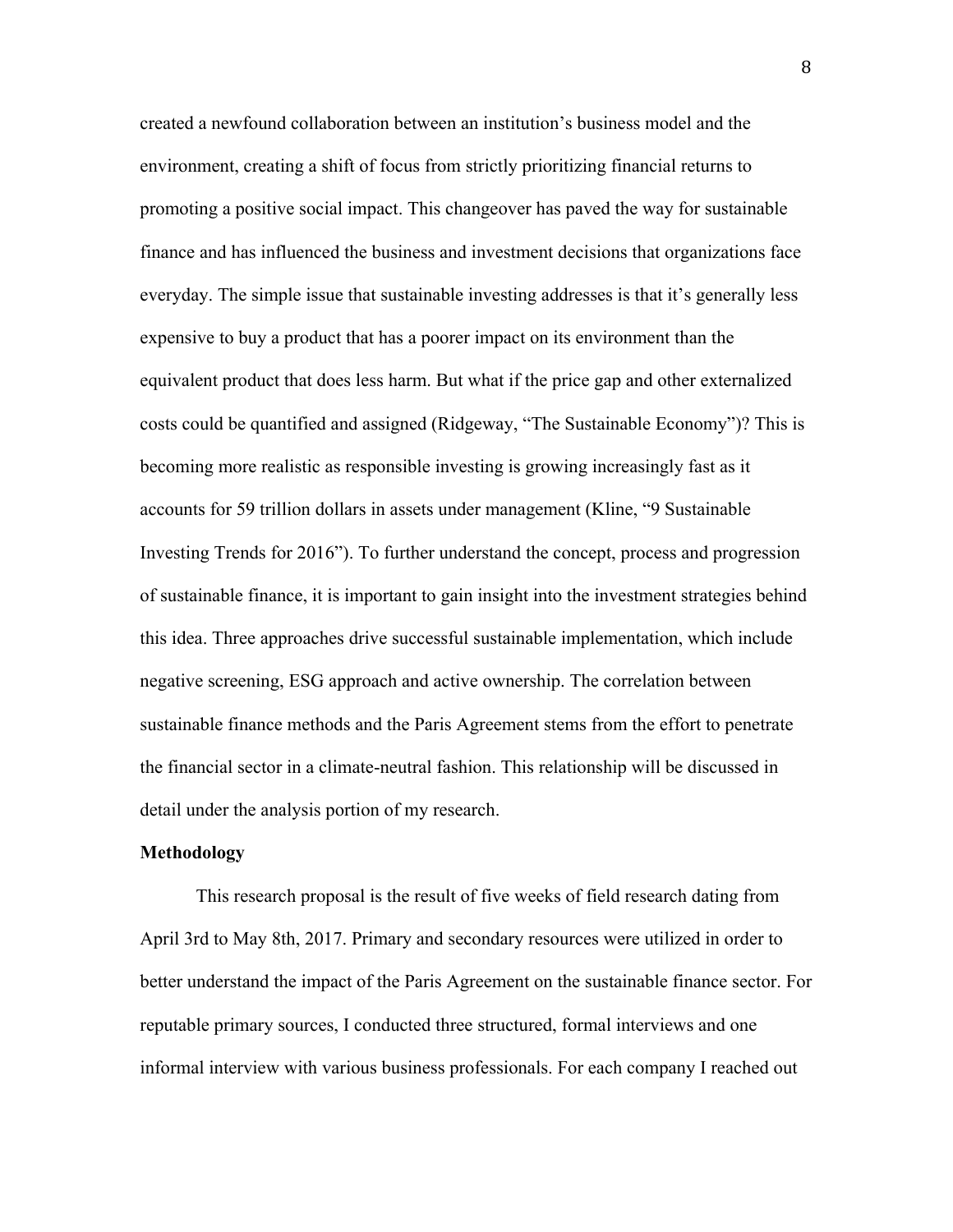created a newfound collaboration between an institution's business model and the environment, creating a shift of focus from strictly prioritizing financial returns to promoting a positive social impact. This changeover has paved the way for sustainable finance and has influenced the business and investment decisions that organizations face everyday. The simple issue that sustainable investing addresses is that it's generally less expensive to buy a product that has a poorer impact on its environment than the equivalent product that does less harm. But what if the price gap and other externalized costs could be quantified and assigned (Ridgeway, "The Sustainable Economy")? This is becoming more realistic as responsible investing is growing increasingly fast as it accounts for 59 trillion dollars in assets under management (Kline, "9 Sustainable Investing Trends for 2016"). To further understand the concept, process and progression of sustainable finance, it is important to gain insight into the investment strategies behind this idea. Three approaches drive successful sustainable implementation, which include negative screening, ESG approach and active ownership. The correlation between sustainable finance methods and the Paris Agreement stems from the effort to penetrate the financial sector in a climate-neutral fashion. This relationship will be discussed in detail under the analysis portion of my research.

#### **Methodology**

This research proposal is the result of five weeks of field research dating from April 3rd to May 8th, 2017. Primary and secondary resources were utilized in order to better understand the impact of the Paris Agreement on the sustainable finance sector. For reputable primary sources, I conducted three structured, formal interviews and one informal interview with various business professionals. For each company I reached out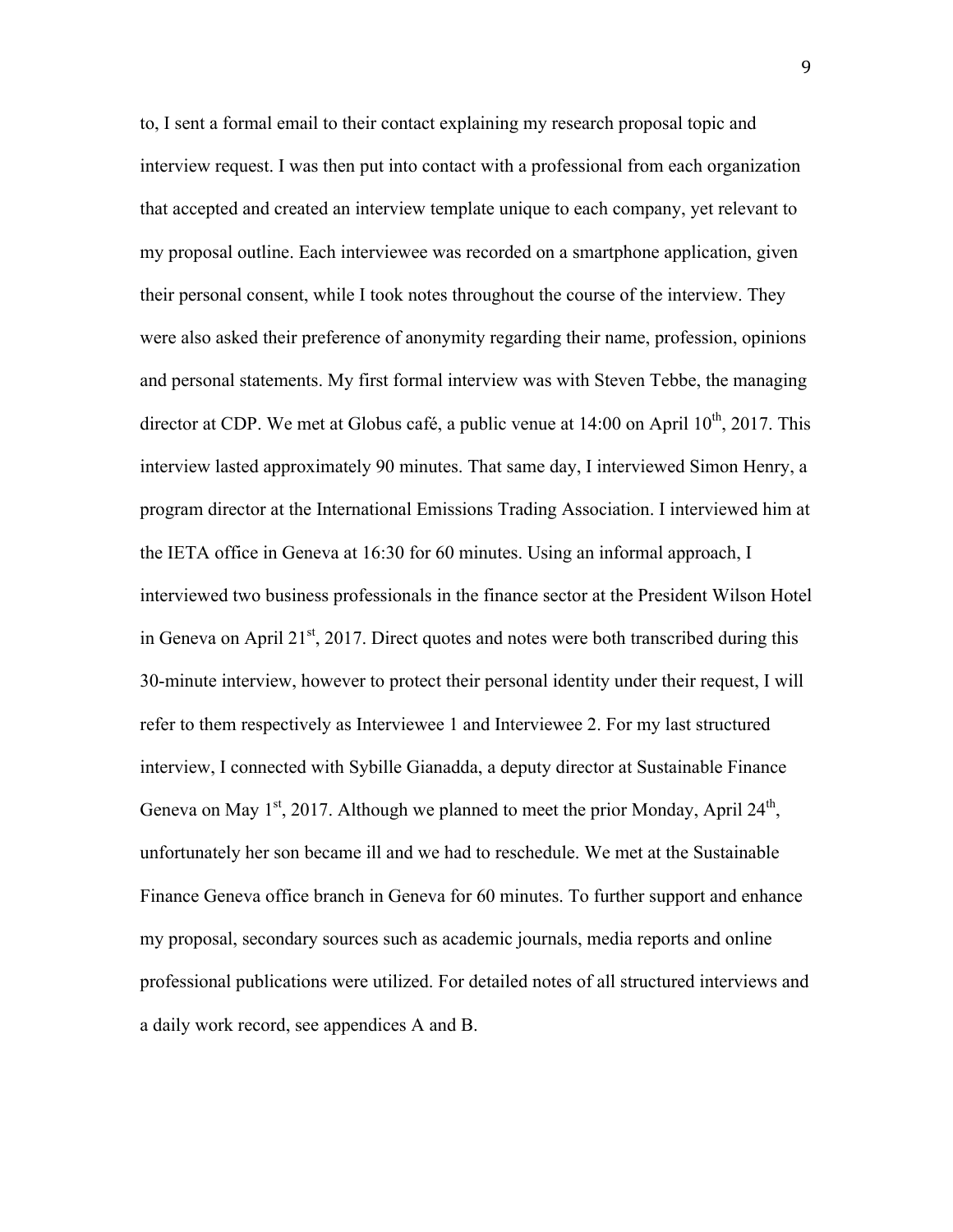to, I sent a formal email to their contact explaining my research proposal topic and interview request. I was then put into contact with a professional from each organization that accepted and created an interview template unique to each company, yet relevant to my proposal outline. Each interviewee was recorded on a smartphone application, given their personal consent, while I took notes throughout the course of the interview. They were also asked their preference of anonymity regarding their name, profession, opinions and personal statements. My first formal interview was with Steven Tebbe, the managing director at CDP. We met at Globus café, a public venue at  $14:00$  on April  $10^{th}$ , 2017. This interview lasted approximately 90 minutes. That same day, I interviewed Simon Henry, a program director at the International Emissions Trading Association. I interviewed him at the IETA office in Geneva at 16:30 for 60 minutes. Using an informal approach, I interviewed two business professionals in the finance sector at the President Wilson Hotel in Geneva on April 21 $st$ , 2017. Direct quotes and notes were both transcribed during this 30-minute interview, however to protect their personal identity under their request, I will refer to them respectively as Interviewee 1 and Interviewee 2. For my last structured interview, I connected with Sybille Gianadda, a deputy director at Sustainable Finance Geneva on May  $1^{st}$ , 2017. Although we planned to meet the prior Monday, April 24<sup>th</sup>, unfortunately her son became ill and we had to reschedule. We met at the Sustainable Finance Geneva office branch in Geneva for 60 minutes. To further support and enhance my proposal, secondary sources such as academic journals, media reports and online professional publications were utilized. For detailed notes of all structured interviews and a daily work record, see appendices A and B.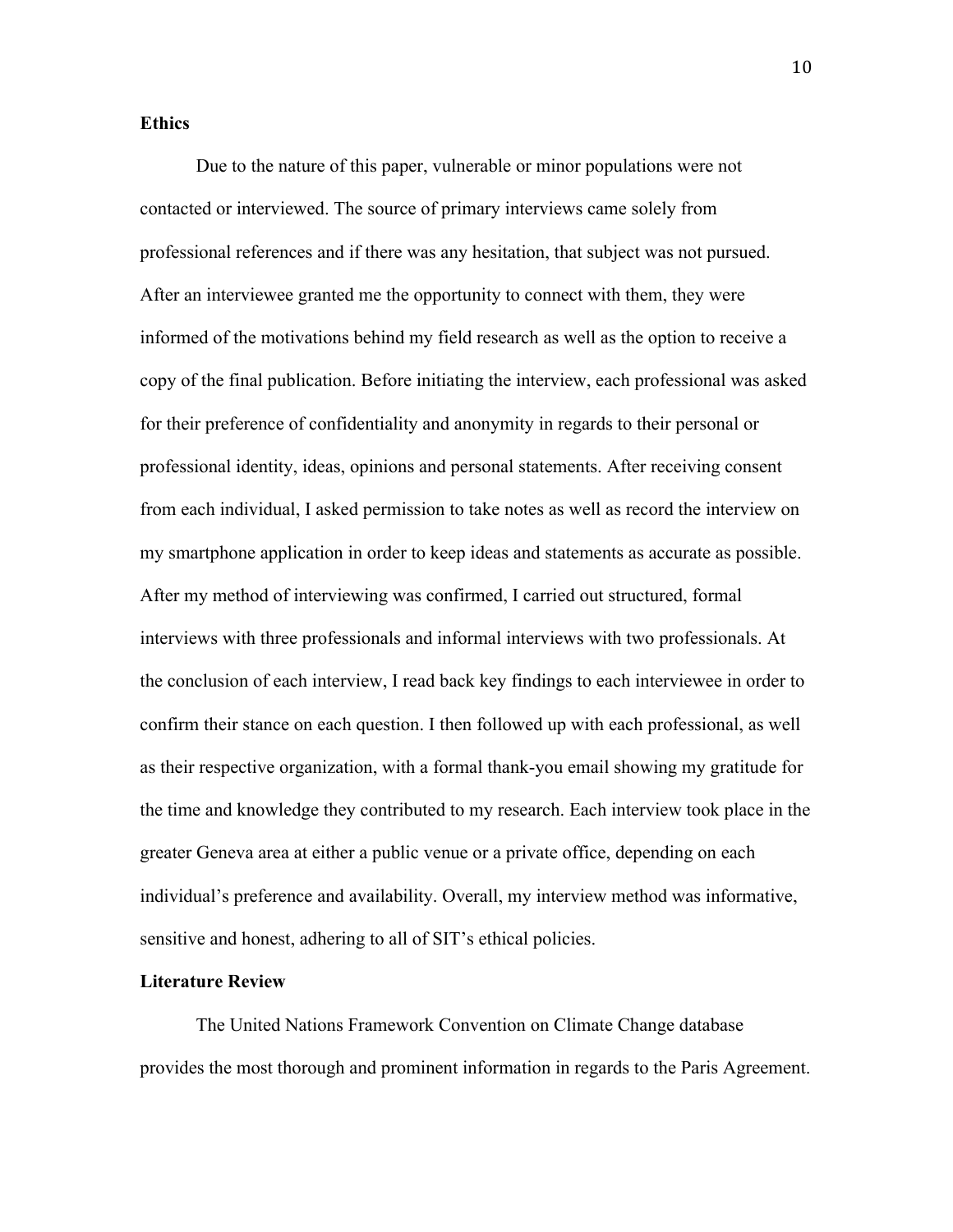### **Ethics**

Due to the nature of this paper, vulnerable or minor populations were not contacted or interviewed. The source of primary interviews came solely from professional references and if there was any hesitation, that subject was not pursued. After an interviewee granted me the opportunity to connect with them, they were informed of the motivations behind my field research as well as the option to receive a copy of the final publication. Before initiating the interview, each professional was asked for their preference of confidentiality and anonymity in regards to their personal or professional identity, ideas, opinions and personal statements. After receiving consent from each individual, I asked permission to take notes as well as record the interview on my smartphone application in order to keep ideas and statements as accurate as possible. After my method of interviewing was confirmed, I carried out structured, formal interviews with three professionals and informal interviews with two professionals. At the conclusion of each interview, I read back key findings to each interviewee in order to confirm their stance on each question. I then followed up with each professional, as well as their respective organization, with a formal thank-you email showing my gratitude for the time and knowledge they contributed to my research. Each interview took place in the greater Geneva area at either a public venue or a private office, depending on each individual's preference and availability. Overall, my interview method was informative, sensitive and honest, adhering to all of SIT's ethical policies.

### **Literature Review**

The United Nations Framework Convention on Climate Change database provides the most thorough and prominent information in regards to the Paris Agreement.

10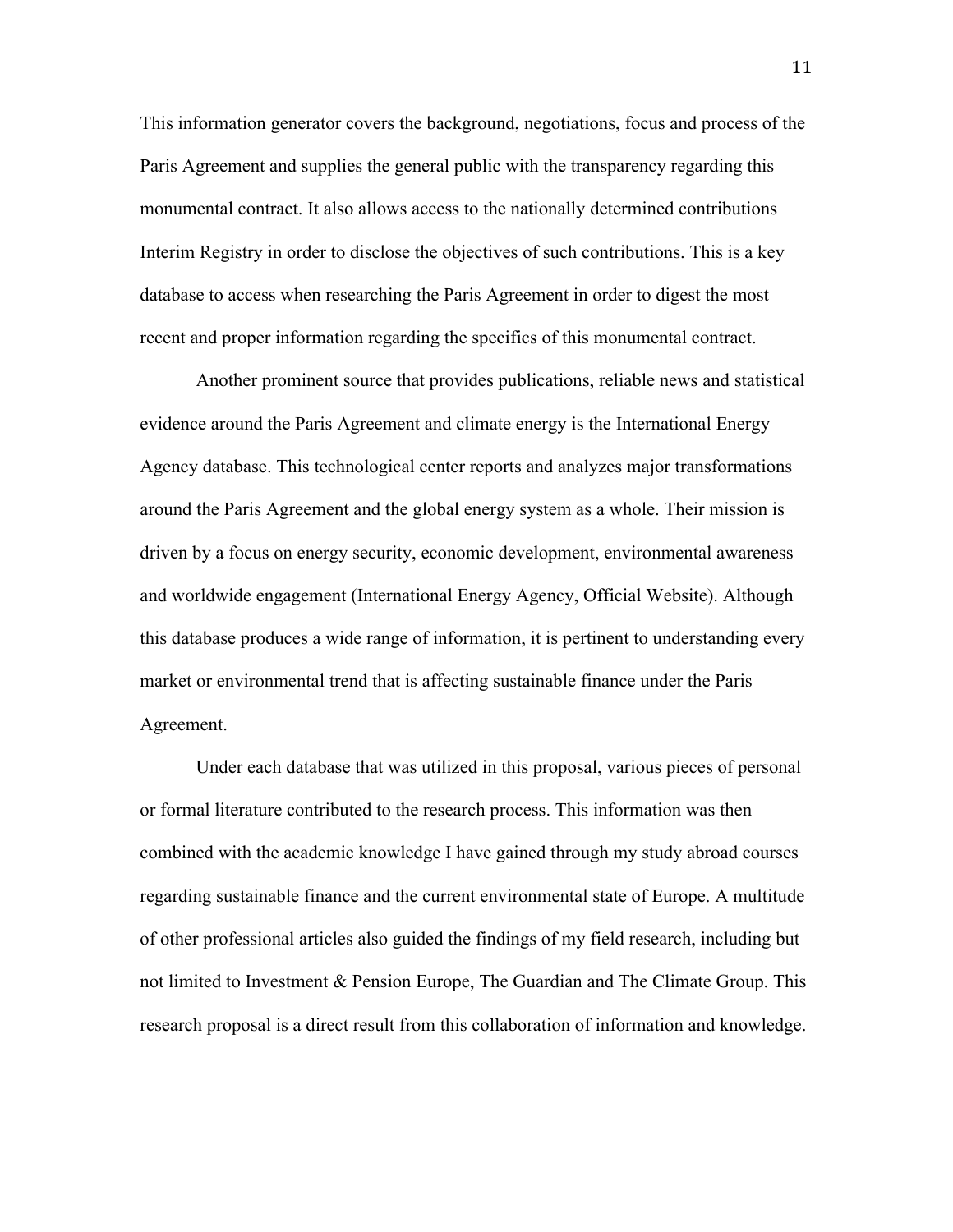This information generator covers the background, negotiations, focus and process of the Paris Agreement and supplies the general public with the transparency regarding this monumental contract. It also allows access to the nationally determined contributions Interim Registry in order to disclose the objectives of such contributions. This is a key database to access when researching the Paris Agreement in order to digest the most recent and proper information regarding the specifics of this monumental contract.

Another prominent source that provides publications, reliable news and statistical evidence around the Paris Agreement and climate energy is the International Energy Agency database. This technological center reports and analyzes major transformations around the Paris Agreement and the global energy system as a whole. Their mission is driven by a focus on energy security, economic development, environmental awareness and worldwide engagement (International Energy Agency, Official Website). Although this database produces a wide range of information, it is pertinent to understanding every market or environmental trend that is affecting sustainable finance under the Paris Agreement.

Under each database that was utilized in this proposal, various pieces of personal or formal literature contributed to the research process. This information was then combined with the academic knowledge I have gained through my study abroad courses regarding sustainable finance and the current environmental state of Europe. A multitude of other professional articles also guided the findings of my field research, including but not limited to Investment & Pension Europe, The Guardian and The Climate Group. This research proposal is a direct result from this collaboration of information and knowledge.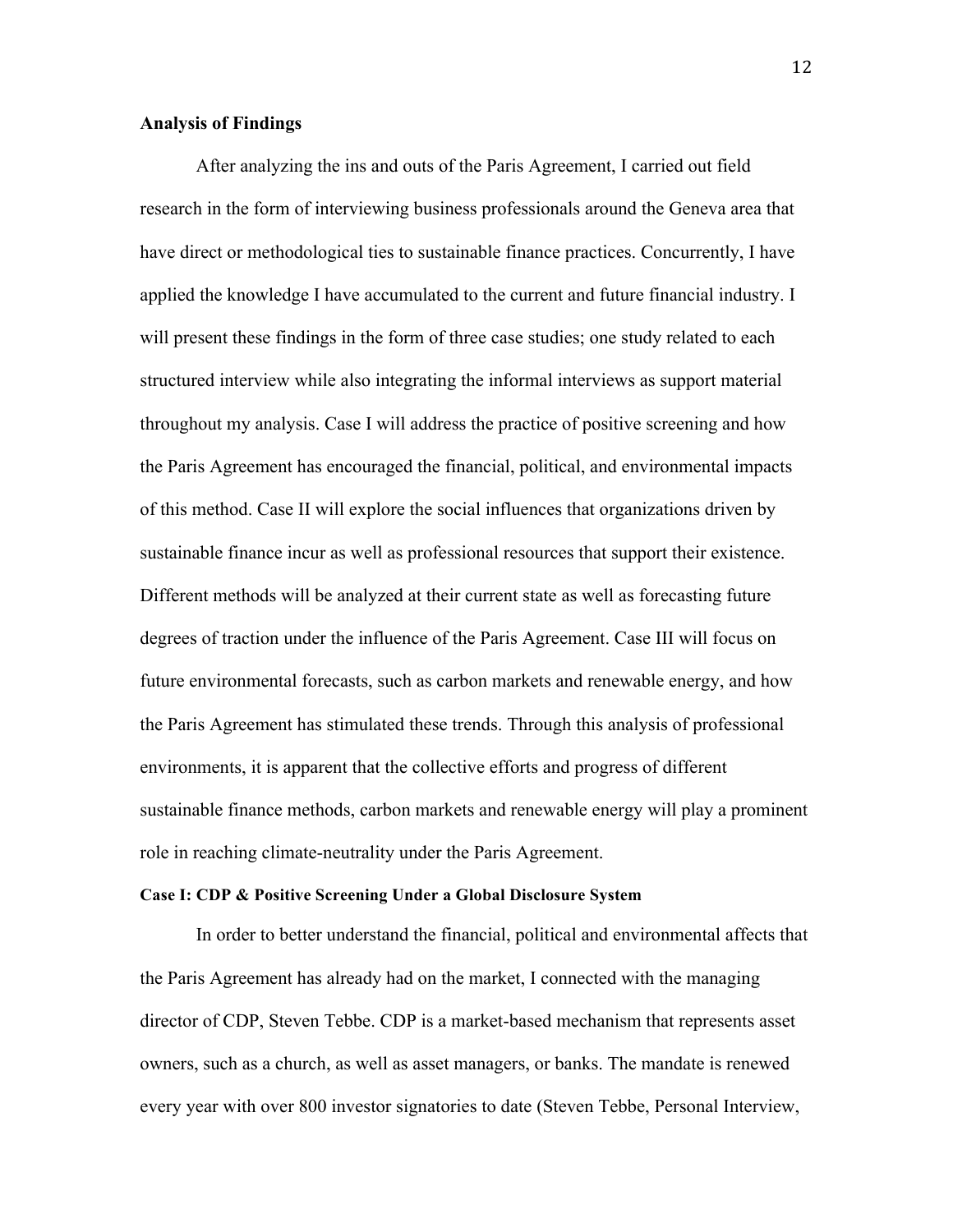#### **Analysis of Findings**

After analyzing the ins and outs of the Paris Agreement, I carried out field research in the form of interviewing business professionals around the Geneva area that have direct or methodological ties to sustainable finance practices. Concurrently, I have applied the knowledge I have accumulated to the current and future financial industry. I will present these findings in the form of three case studies; one study related to each structured interview while also integrating the informal interviews as support material throughout my analysis. Case I will address the practice of positive screening and how the Paris Agreement has encouraged the financial, political, and environmental impacts of this method. Case II will explore the social influences that organizations driven by sustainable finance incur as well as professional resources that support their existence. Different methods will be analyzed at their current state as well as forecasting future degrees of traction under the influence of the Paris Agreement. Case III will focus on future environmental forecasts, such as carbon markets and renewable energy, and how the Paris Agreement has stimulated these trends. Through this analysis of professional environments, it is apparent that the collective efforts and progress of different sustainable finance methods, carbon markets and renewable energy will play a prominent role in reaching climate-neutrality under the Paris Agreement.

#### **Case I: CDP & Positive Screening Under a Global Disclosure System**

In order to better understand the financial, political and environmental affects that the Paris Agreement has already had on the market, I connected with the managing director of CDP, Steven Tebbe. CDP is a market-based mechanism that represents asset owners, such as a church, as well as asset managers, or banks. The mandate is renewed every year with over 800 investor signatories to date (Steven Tebbe, Personal Interview,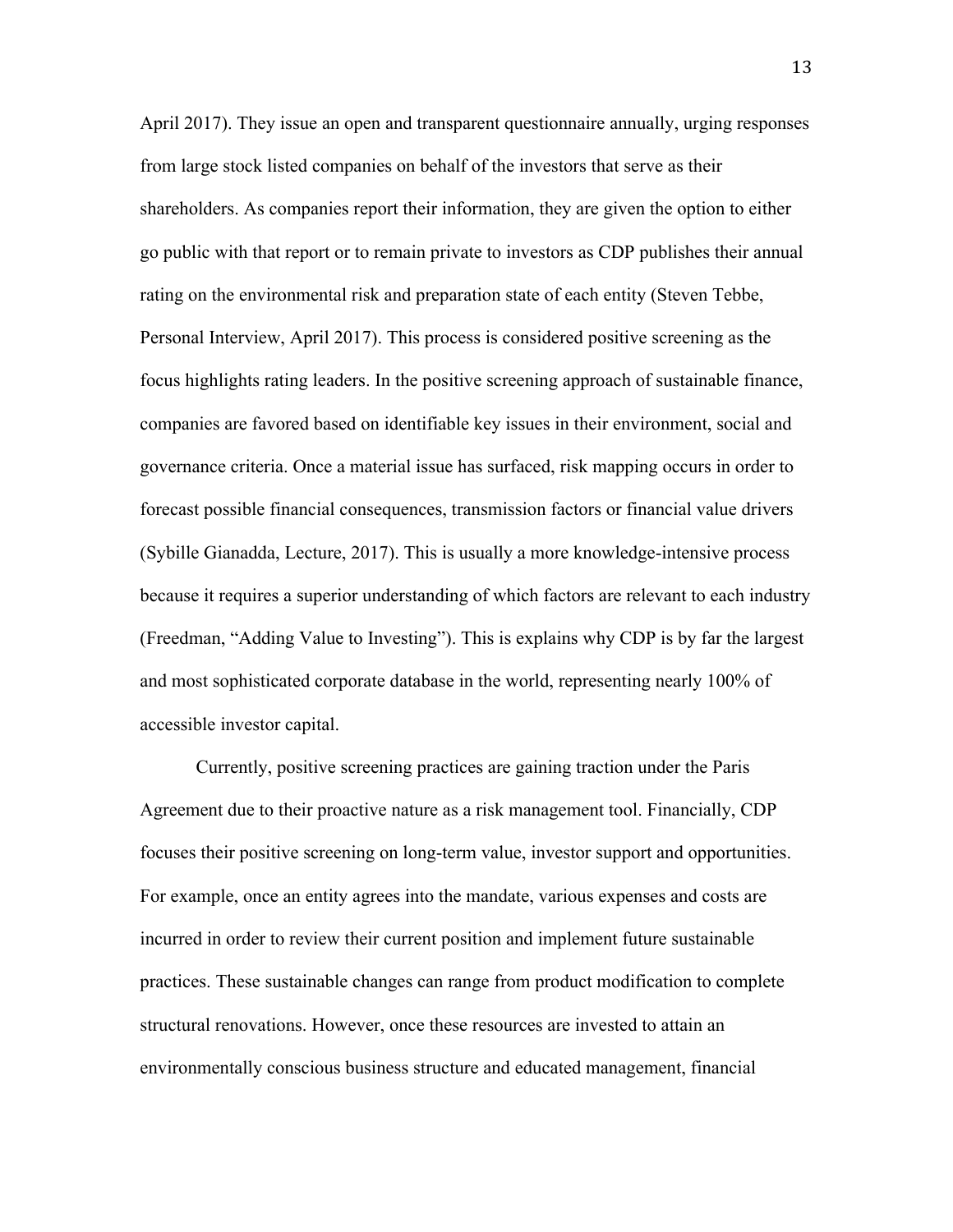April 2017). They issue an open and transparent questionnaire annually, urging responses from large stock listed companies on behalf of the investors that serve as their shareholders. As companies report their information, they are given the option to either go public with that report or to remain private to investors as CDP publishes their annual rating on the environmental risk and preparation state of each entity (Steven Tebbe, Personal Interview, April 2017). This process is considered positive screening as the focus highlights rating leaders. In the positive screening approach of sustainable finance, companies are favored based on identifiable key issues in their environment, social and governance criteria. Once a material issue has surfaced, risk mapping occurs in order to forecast possible financial consequences, transmission factors or financial value drivers (Sybille Gianadda, Lecture, 2017). This is usually a more knowledge-intensive process because it requires a superior understanding of which factors are relevant to each industry (Freedman, "Adding Value to Investing"). This is explains why CDP is by far the largest and most sophisticated corporate database in the world, representing nearly 100% of accessible investor capital.

Currently, positive screening practices are gaining traction under the Paris Agreement due to their proactive nature as a risk management tool. Financially, CDP focuses their positive screening on long-term value, investor support and opportunities. For example, once an entity agrees into the mandate, various expenses and costs are incurred in order to review their current position and implement future sustainable practices. These sustainable changes can range from product modification to complete structural renovations. However, once these resources are invested to attain an environmentally conscious business structure and educated management, financial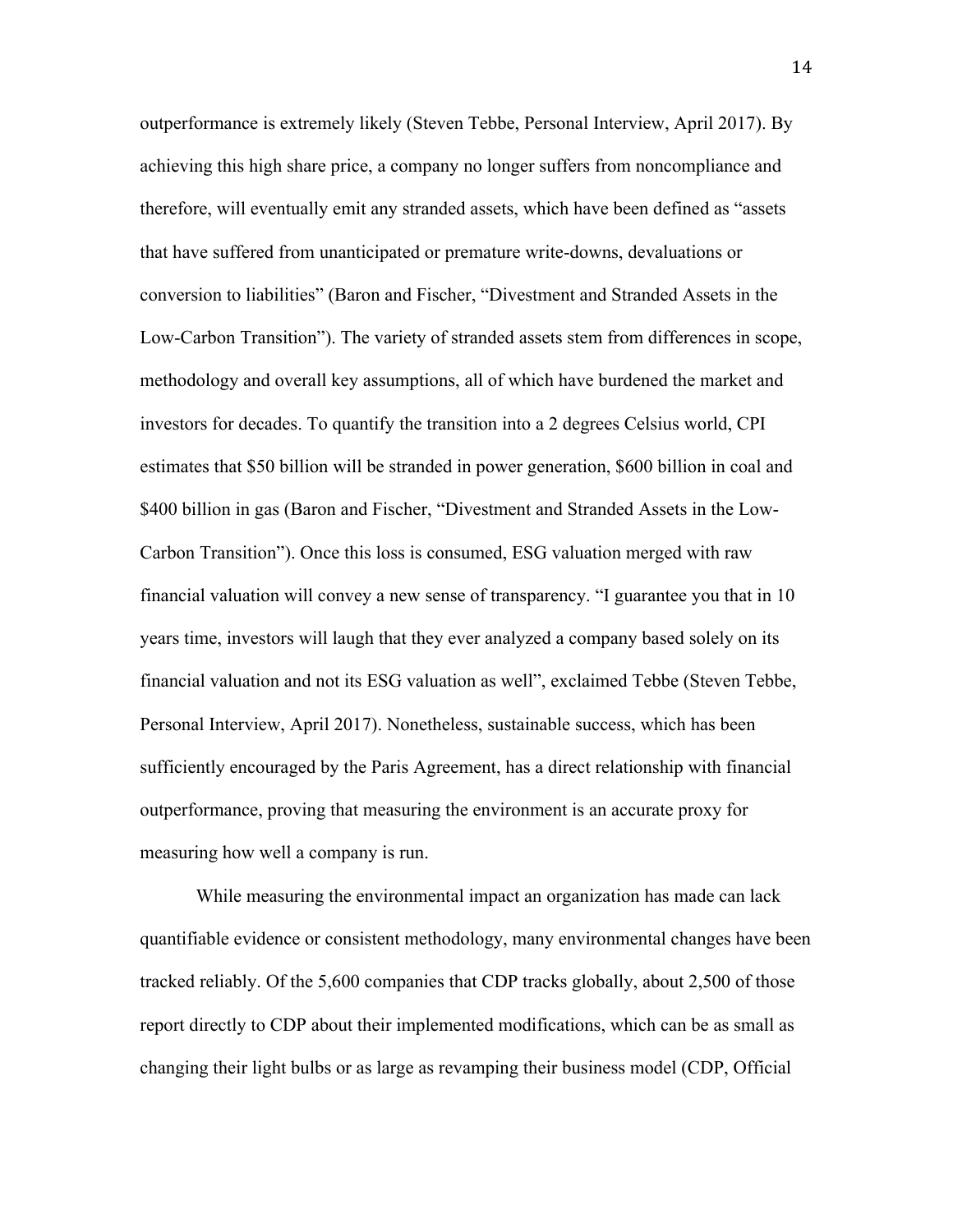outperformance is extremely likely (Steven Tebbe, Personal Interview, April 2017). By achieving this high share price, a company no longer suffers from noncompliance and therefore, will eventually emit any stranded assets, which have been defined as "assets that have suffered from unanticipated or premature write-downs, devaluations or conversion to liabilities" (Baron and Fischer, "Divestment and Stranded Assets in the Low-Carbon Transition"). The variety of stranded assets stem from differences in scope, methodology and overall key assumptions, all of which have burdened the market and investors for decades. To quantify the transition into a 2 degrees Celsius world, CPI estimates that \$50 billion will be stranded in power generation, \$600 billion in coal and \$400 billion in gas (Baron and Fischer, "Divestment and Stranded Assets in the Low-Carbon Transition"). Once this loss is consumed, ESG valuation merged with raw financial valuation will convey a new sense of transparency. "I guarantee you that in 10 years time, investors will laugh that they ever analyzed a company based solely on its financial valuation and not its ESG valuation as well", exclaimed Tebbe (Steven Tebbe, Personal Interview, April 2017). Nonetheless, sustainable success, which has been sufficiently encouraged by the Paris Agreement, has a direct relationship with financial outperformance, proving that measuring the environment is an accurate proxy for measuring how well a company is run.

While measuring the environmental impact an organization has made can lack quantifiable evidence or consistent methodology, many environmental changes have been tracked reliably. Of the 5,600 companies that CDP tracks globally, about 2,500 of those report directly to CDP about their implemented modifications, which can be as small as changing their light bulbs or as large as revamping their business model (CDP, Official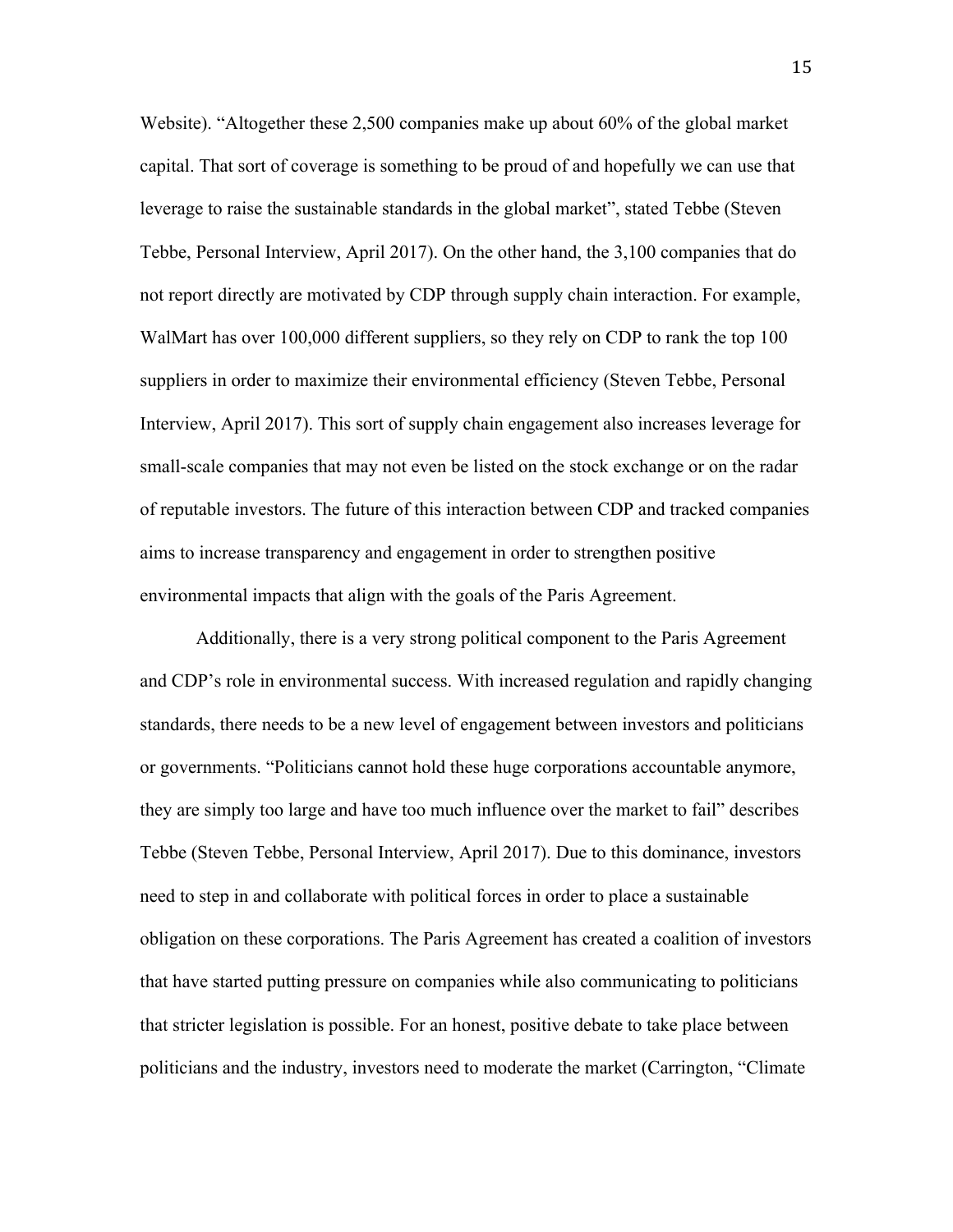Website). "Altogether these 2,500 companies make up about 60% of the global market capital. That sort of coverage is something to be proud of and hopefully we can use that leverage to raise the sustainable standards in the global market", stated Tebbe (Steven Tebbe, Personal Interview, April 2017). On the other hand, the 3,100 companies that do not report directly are motivated by CDP through supply chain interaction. For example, WalMart has over 100,000 different suppliers, so they rely on CDP to rank the top 100 suppliers in order to maximize their environmental efficiency (Steven Tebbe, Personal Interview, April 2017). This sort of supply chain engagement also increases leverage for small-scale companies that may not even be listed on the stock exchange or on the radar of reputable investors. The future of this interaction between CDP and tracked companies aims to increase transparency and engagement in order to strengthen positive environmental impacts that align with the goals of the Paris Agreement.

Additionally, there is a very strong political component to the Paris Agreement and CDP's role in environmental success. With increased regulation and rapidly changing standards, there needs to be a new level of engagement between investors and politicians or governments. "Politicians cannot hold these huge corporations accountable anymore, they are simply too large and have too much influence over the market to fail" describes Tebbe (Steven Tebbe, Personal Interview, April 2017). Due to this dominance, investors need to step in and collaborate with political forces in order to place a sustainable obligation on these corporations. The Paris Agreement has created a coalition of investors that have started putting pressure on companies while also communicating to politicians that stricter legislation is possible. For an honest, positive debate to take place between politicians and the industry, investors need to moderate the market (Carrington, "Climate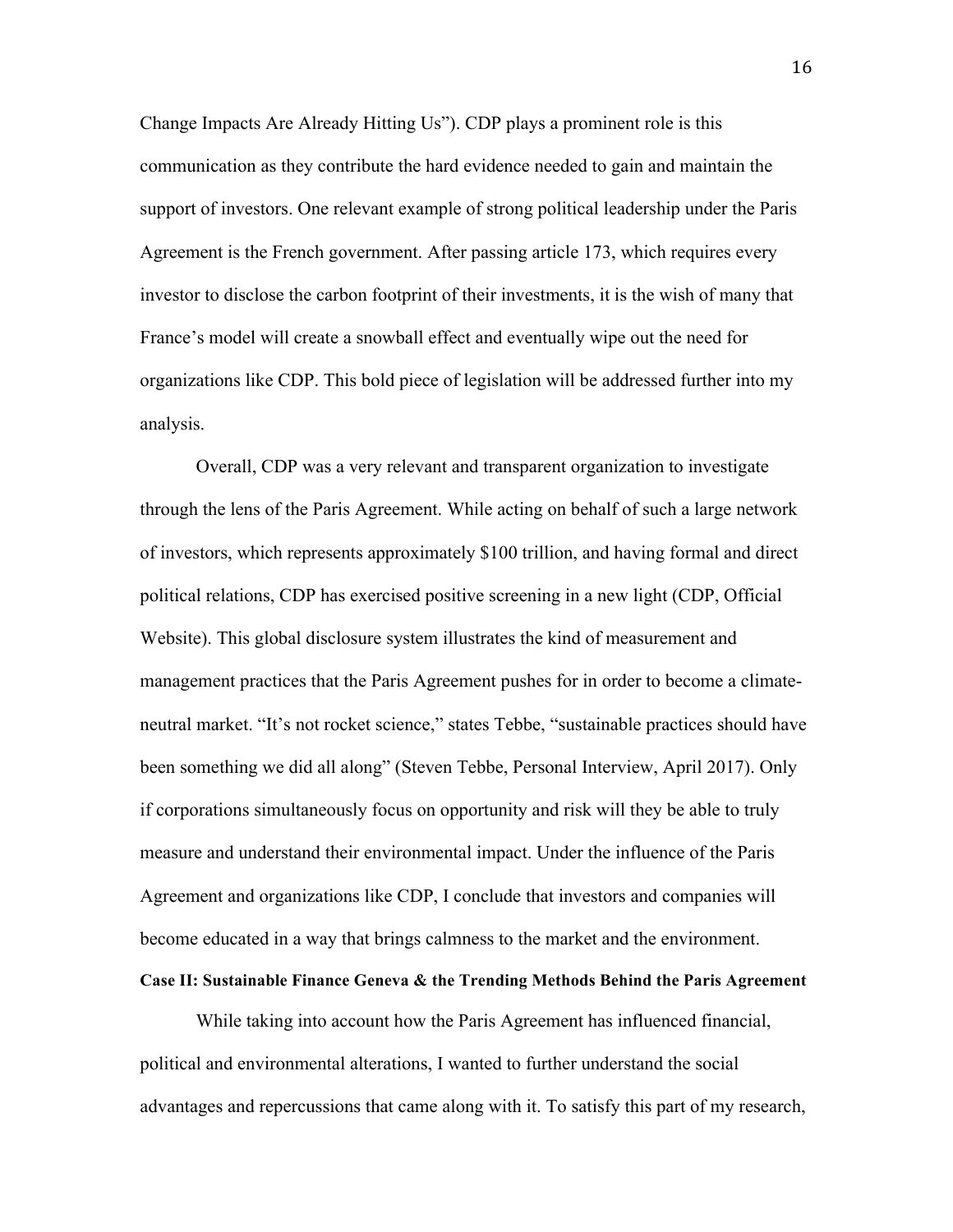Change Impacts Are Already Hitting Us"). CDP plays a prominent role is this communication as they contribute the hard evidence needed to gain and maintain the support of investors. One relevant example of strong political leadership under the Paris Agreement is the French government. After passing article 173, which requires every investor to disclose the carbon footprint of their investments, it is the wish of many that France's model will create a snowball effect and eventually wipe out the need for organizations like CDP. This bold piece of legislation will be addressed further into my analysis.

Overall, CDP was a very relevant and transparent organization to investigate through the lens of the Paris Agreement. While acting on behalf of such a large network of investors, which represents approximately \$100 trillion, and having formal and direct political relations, CDP has exercised positive screening in a new light (CDP, Official Website). This global disclosure system illustrates the kind of measurement and management practices that the Paris Agreement pushes for in order to become a climateneutral market. "It's not rocket science," states Tebbe, "sustainable practices should have been something we did all along" (Steven Tebbe, Personal Interview, April 2017). Only if corporations simultaneously focus on opportunity and risk will they be able to truly measure and understand their environmental impact. Under the influence of the Paris Agreement and organizations like CDP, I conclude that investors and companies will become educated in a way that brings calmness to the market and the environment.

### **Case II: Sustainable Finance Geneva & the Trending Methods Behind the Paris Agreement**

While taking into account how the Paris Agreement has influenced financial, political and environmental alterations, I wanted to further understand the social advantages and repercussions that came along with it. To satisfy this part of my research,

16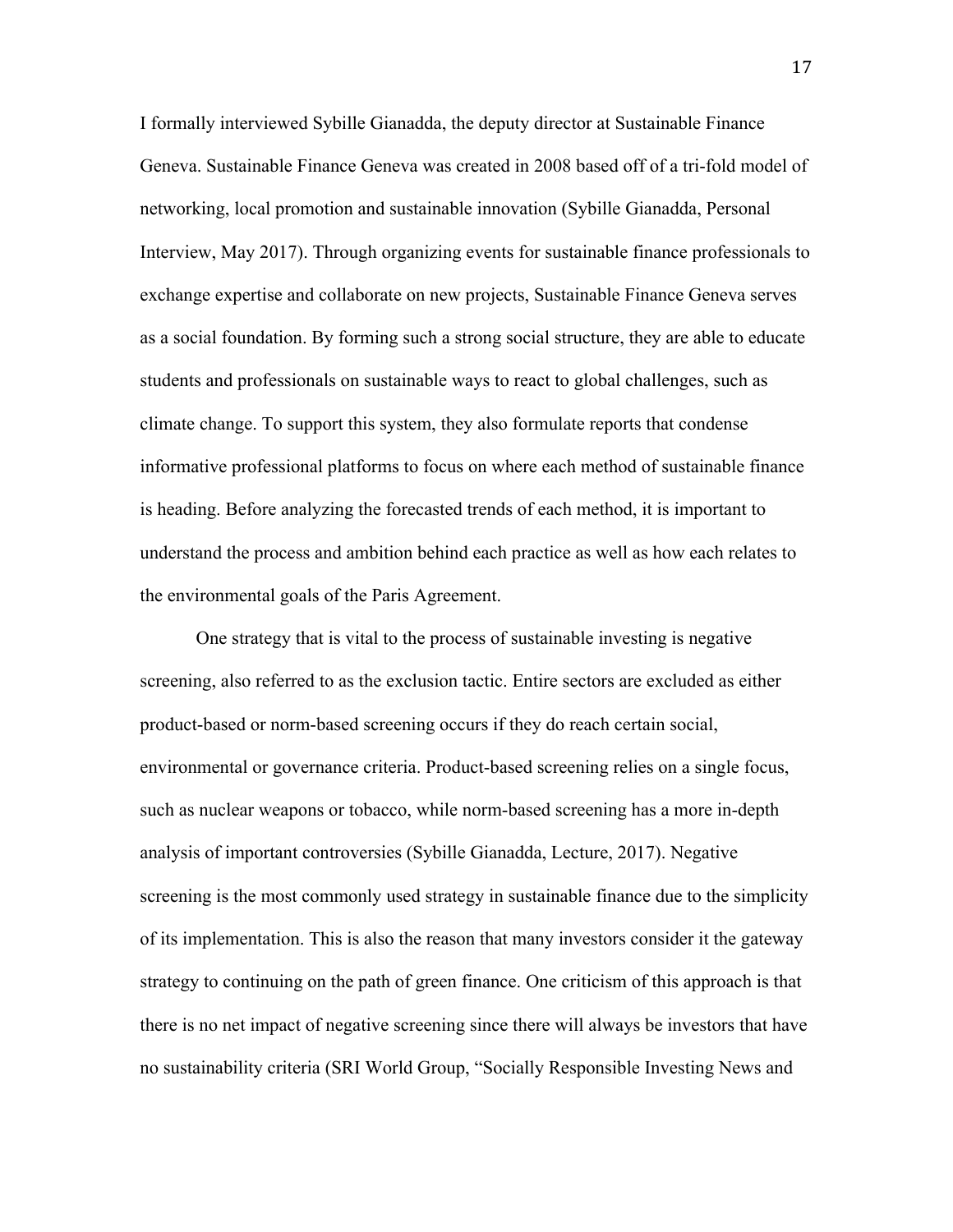I formally interviewed Sybille Gianadda, the deputy director at Sustainable Finance Geneva. Sustainable Finance Geneva was created in 2008 based off of a tri-fold model of networking, local promotion and sustainable innovation (Sybille Gianadda, Personal Interview, May 2017). Through organizing events for sustainable finance professionals to exchange expertise and collaborate on new projects, Sustainable Finance Geneva serves as a social foundation. By forming such a strong social structure, they are able to educate students and professionals on sustainable ways to react to global challenges, such as climate change. To support this system, they also formulate reports that condense informative professional platforms to focus on where each method of sustainable finance is heading. Before analyzing the forecasted trends of each method, it is important to understand the process and ambition behind each practice as well as how each relates to the environmental goals of the Paris Agreement.

One strategy that is vital to the process of sustainable investing is negative screening, also referred to as the exclusion tactic. Entire sectors are excluded as either product-based or norm-based screening occurs if they do reach certain social, environmental or governance criteria. Product-based screening relies on a single focus, such as nuclear weapons or tobacco, while norm-based screening has a more in-depth analysis of important controversies (Sybille Gianadda, Lecture, 2017). Negative screening is the most commonly used strategy in sustainable finance due to the simplicity of its implementation. This is also the reason that many investors consider it the gateway strategy to continuing on the path of green finance. One criticism of this approach is that there is no net impact of negative screening since there will always be investors that have no sustainability criteria (SRI World Group, "Socially Responsible Investing News and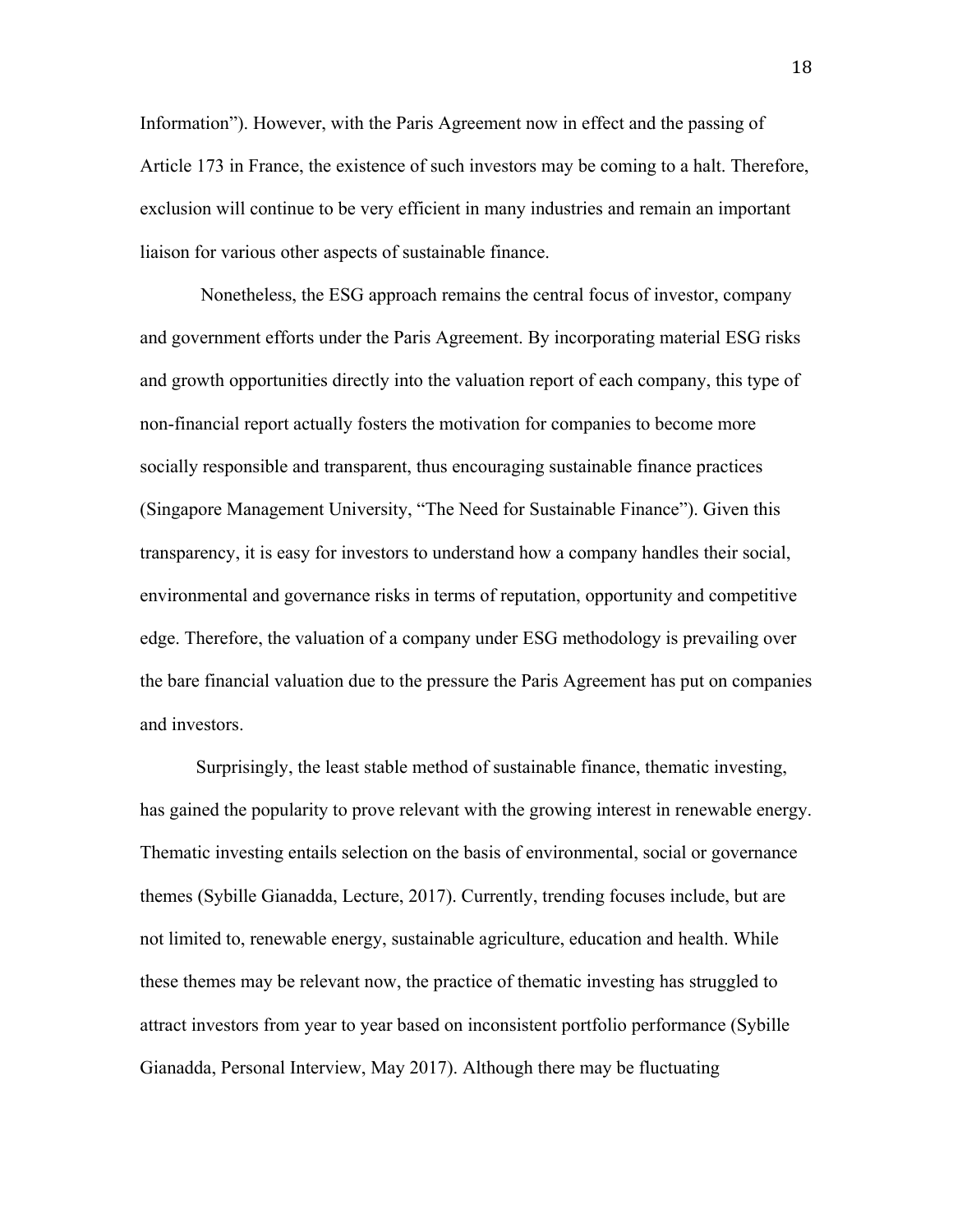Information"). However, with the Paris Agreement now in effect and the passing of Article 173 in France, the existence of such investors may be coming to a halt. Therefore, exclusion will continue to be very efficient in many industries and remain an important liaison for various other aspects of sustainable finance.

Nonetheless, the ESG approach remains the central focus of investor, company and government efforts under the Paris Agreement. By incorporating material ESG risks and growth opportunities directly into the valuation report of each company, this type of non-financial report actually fosters the motivation for companies to become more socially responsible and transparent, thus encouraging sustainable finance practices (Singapore Management University, "The Need for Sustainable Finance"). Given this transparency, it is easy for investors to understand how a company handles their social, environmental and governance risks in terms of reputation, opportunity and competitive edge. Therefore, the valuation of a company under ESG methodology is prevailing over the bare financial valuation due to the pressure the Paris Agreement has put on companies and investors.

Surprisingly, the least stable method of sustainable finance, thematic investing, has gained the popularity to prove relevant with the growing interest in renewable energy. Thematic investing entails selection on the basis of environmental, social or governance themes (Sybille Gianadda, Lecture, 2017). Currently, trending focuses include, but are not limited to, renewable energy, sustainable agriculture, education and health. While these themes may be relevant now, the practice of thematic investing has struggled to attract investors from year to year based on inconsistent portfolio performance (Sybille Gianadda, Personal Interview, May 2017). Although there may be fluctuating

18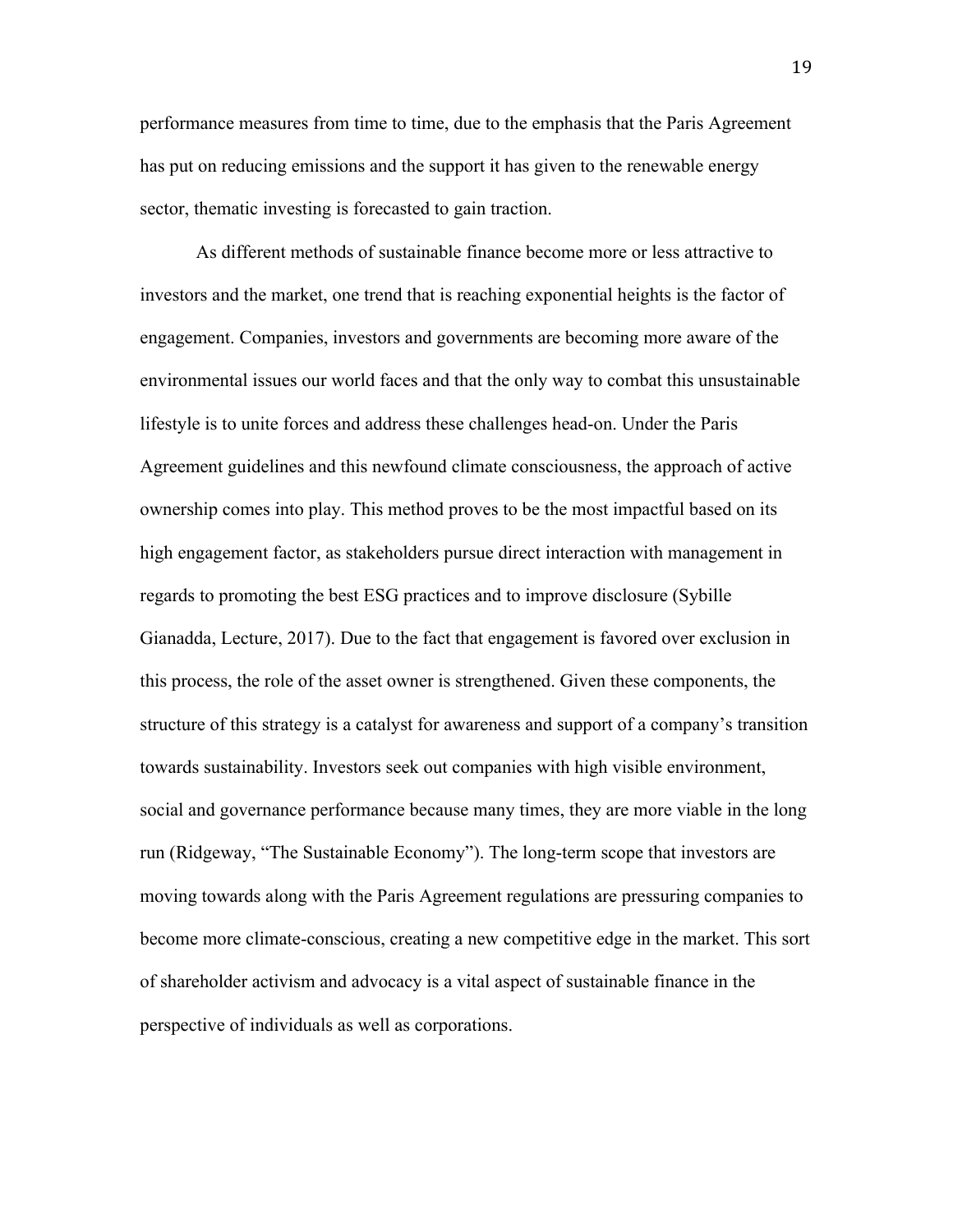performance measures from time to time, due to the emphasis that the Paris Agreement has put on reducing emissions and the support it has given to the renewable energy sector, thematic investing is forecasted to gain traction.

As different methods of sustainable finance become more or less attractive to investors and the market, one trend that is reaching exponential heights is the factor of engagement. Companies, investors and governments are becoming more aware of the environmental issues our world faces and that the only way to combat this unsustainable lifestyle is to unite forces and address these challenges head-on. Under the Paris Agreement guidelines and this newfound climate consciousness, the approach of active ownership comes into play. This method proves to be the most impactful based on its high engagement factor, as stakeholders pursue direct interaction with management in regards to promoting the best ESG practices and to improve disclosure (Sybille Gianadda, Lecture, 2017). Due to the fact that engagement is favored over exclusion in this process, the role of the asset owner is strengthened. Given these components, the structure of this strategy is a catalyst for awareness and support of a company's transition towards sustainability. Investors seek out companies with high visible environment, social and governance performance because many times, they are more viable in the long run (Ridgeway, "The Sustainable Economy"). The long-term scope that investors are moving towards along with the Paris Agreement regulations are pressuring companies to become more climate-conscious, creating a new competitive edge in the market. This sort of shareholder activism and advocacy is a vital aspect of sustainable finance in the perspective of individuals as well as corporations.

19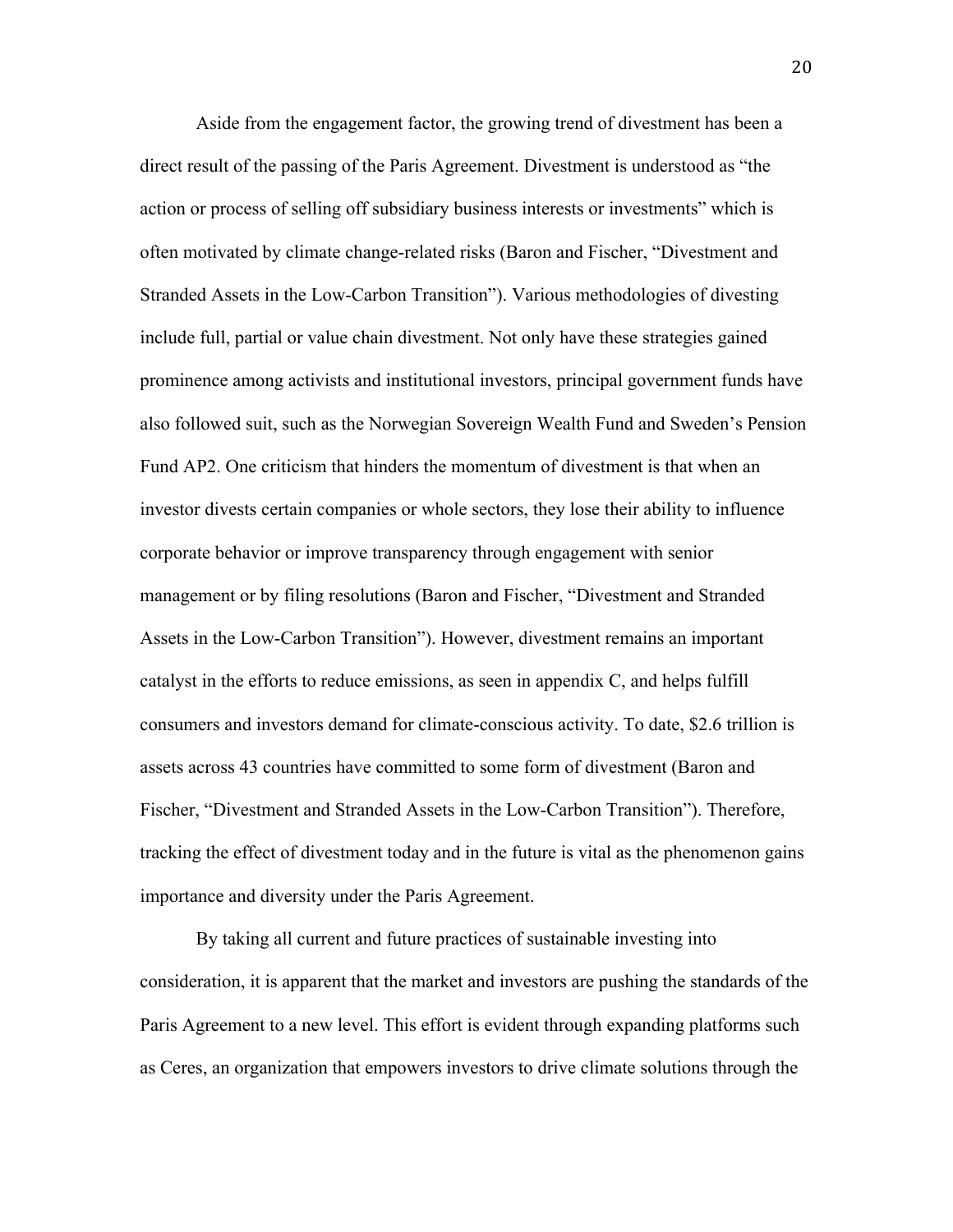Aside from the engagement factor, the growing trend of divestment has been a direct result of the passing of the Paris Agreement. Divestment is understood as "the action or process of selling off subsidiary business interests or investments" which is often motivated by climate change-related risks (Baron and Fischer, "Divestment and Stranded Assets in the Low-Carbon Transition"). Various methodologies of divesting include full, partial or value chain divestment. Not only have these strategies gained prominence among activists and institutional investors, principal government funds have also followed suit, such as the Norwegian Sovereign Wealth Fund and Sweden's Pension Fund AP2. One criticism that hinders the momentum of divestment is that when an investor divests certain companies or whole sectors, they lose their ability to influence corporate behavior or improve transparency through engagement with senior management or by filing resolutions (Baron and Fischer, "Divestment and Stranded Assets in the Low-Carbon Transition"). However, divestment remains an important catalyst in the efforts to reduce emissions, as seen in appendix C, and helps fulfill consumers and investors demand for climate-conscious activity. To date, \$2.6 trillion is assets across 43 countries have committed to some form of divestment (Baron and Fischer, "Divestment and Stranded Assets in the Low-Carbon Transition"). Therefore, tracking the effect of divestment today and in the future is vital as the phenomenon gains importance and diversity under the Paris Agreement.

By taking all current and future practices of sustainable investing into consideration, it is apparent that the market and investors are pushing the standards of the Paris Agreement to a new level. This effort is evident through expanding platforms such as Ceres, an organization that empowers investors to drive climate solutions through the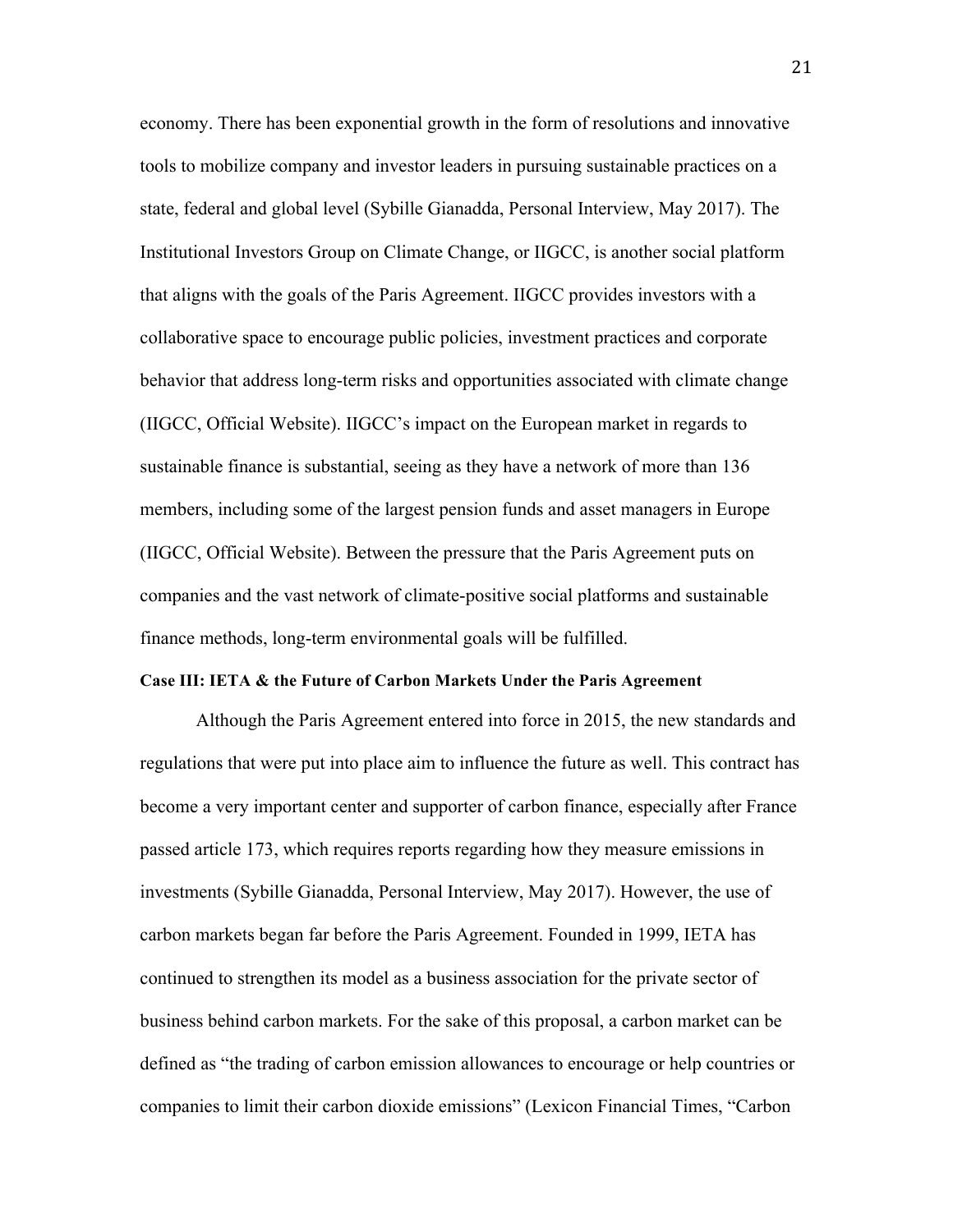economy. There has been exponential growth in the form of resolutions and innovative tools to mobilize company and investor leaders in pursuing sustainable practices on a state, federal and global level (Sybille Gianadda, Personal Interview, May 2017). The Institutional Investors Group on Climate Change, or IIGCC, is another social platform that aligns with the goals of the Paris Agreement. IIGCC provides investors with a collaborative space to encourage public policies, investment practices and corporate behavior that address long-term risks and opportunities associated with climate change (IIGCC, Official Website). IIGCC's impact on the European market in regards to sustainable finance is substantial, seeing as they have a network of more than 136 members, including some of the largest pension funds and asset managers in Europe (IIGCC, Official Website). Between the pressure that the Paris Agreement puts on companies and the vast network of climate-positive social platforms and sustainable finance methods, long-term environmental goals will be fulfilled.

### **Case III: IETA & the Future of Carbon Markets Under the Paris Agreement**

Although the Paris Agreement entered into force in 2015, the new standards and regulations that were put into place aim to influence the future as well. This contract has become a very important center and supporter of carbon finance, especially after France passed article 173, which requires reports regarding how they measure emissions in investments (Sybille Gianadda, Personal Interview, May 2017). However, the use of carbon markets began far before the Paris Agreement. Founded in 1999, IETA has continued to strengthen its model as a business association for the private sector of business behind carbon markets. For the sake of this proposal, a carbon market can be defined as "the trading of carbon emission allowances to encourage or help countries or companies to limit their carbon dioxide emissions" (Lexicon Financial Times, "Carbon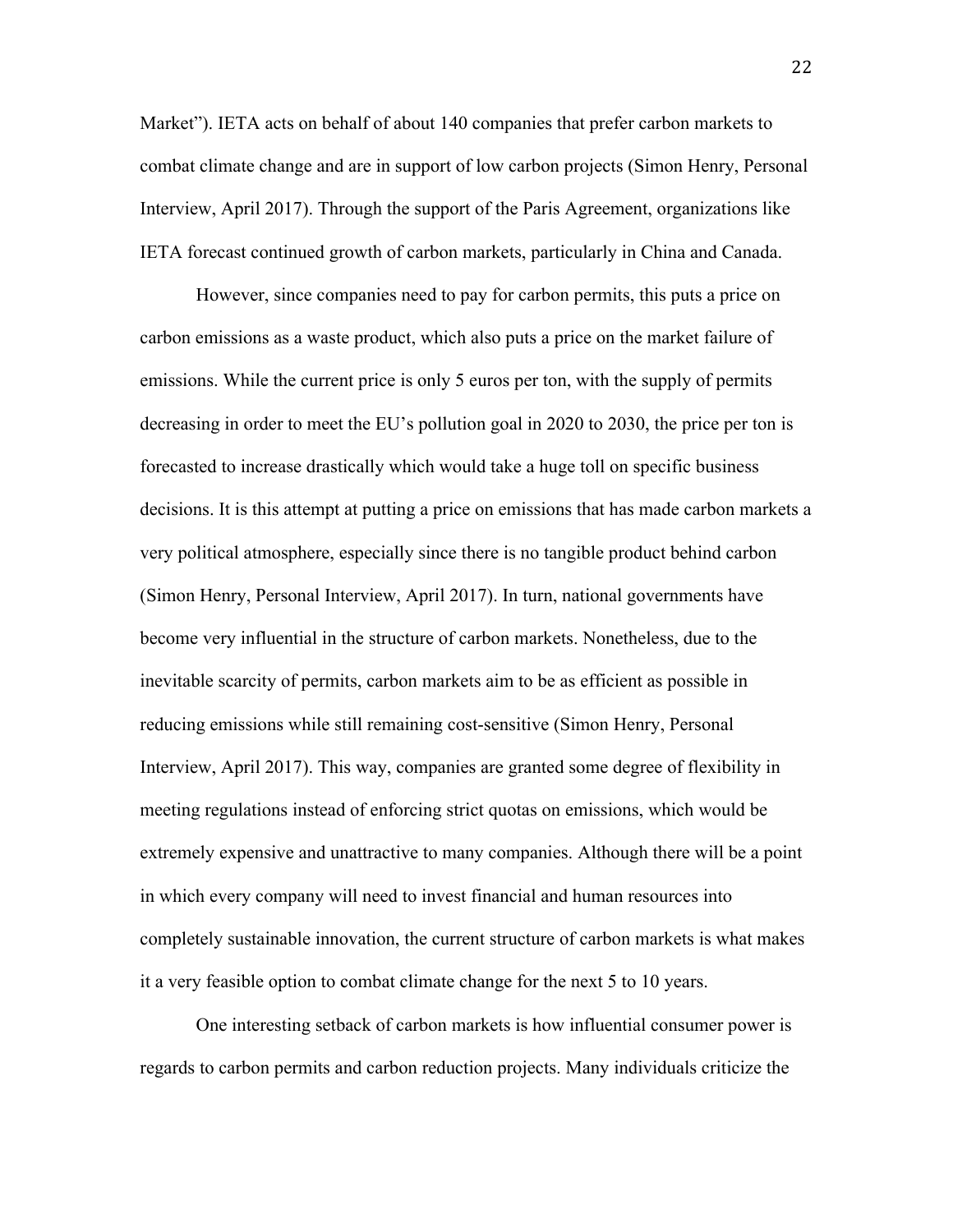Market"). IETA acts on behalf of about 140 companies that prefer carbon markets to combat climate change and are in support of low carbon projects (Simon Henry, Personal Interview, April 2017). Through the support of the Paris Agreement, organizations like IETA forecast continued growth of carbon markets, particularly in China and Canada.

However, since companies need to pay for carbon permits, this puts a price on carbon emissions as a waste product, which also puts a price on the market failure of emissions. While the current price is only 5 euros per ton, with the supply of permits decreasing in order to meet the EU's pollution goal in 2020 to 2030, the price per ton is forecasted to increase drastically which would take a huge toll on specific business decisions. It is this attempt at putting a price on emissions that has made carbon markets a very political atmosphere, especially since there is no tangible product behind carbon (Simon Henry, Personal Interview, April 2017). In turn, national governments have become very influential in the structure of carbon markets. Nonetheless, due to the inevitable scarcity of permits, carbon markets aim to be as efficient as possible in reducing emissions while still remaining cost-sensitive (Simon Henry, Personal Interview, April 2017). This way, companies are granted some degree of flexibility in meeting regulations instead of enforcing strict quotas on emissions, which would be extremely expensive and unattractive to many companies. Although there will be a point in which every company will need to invest financial and human resources into completely sustainable innovation, the current structure of carbon markets is what makes it a very feasible option to combat climate change for the next 5 to 10 years.

One interesting setback of carbon markets is how influential consumer power is regards to carbon permits and carbon reduction projects. Many individuals criticize the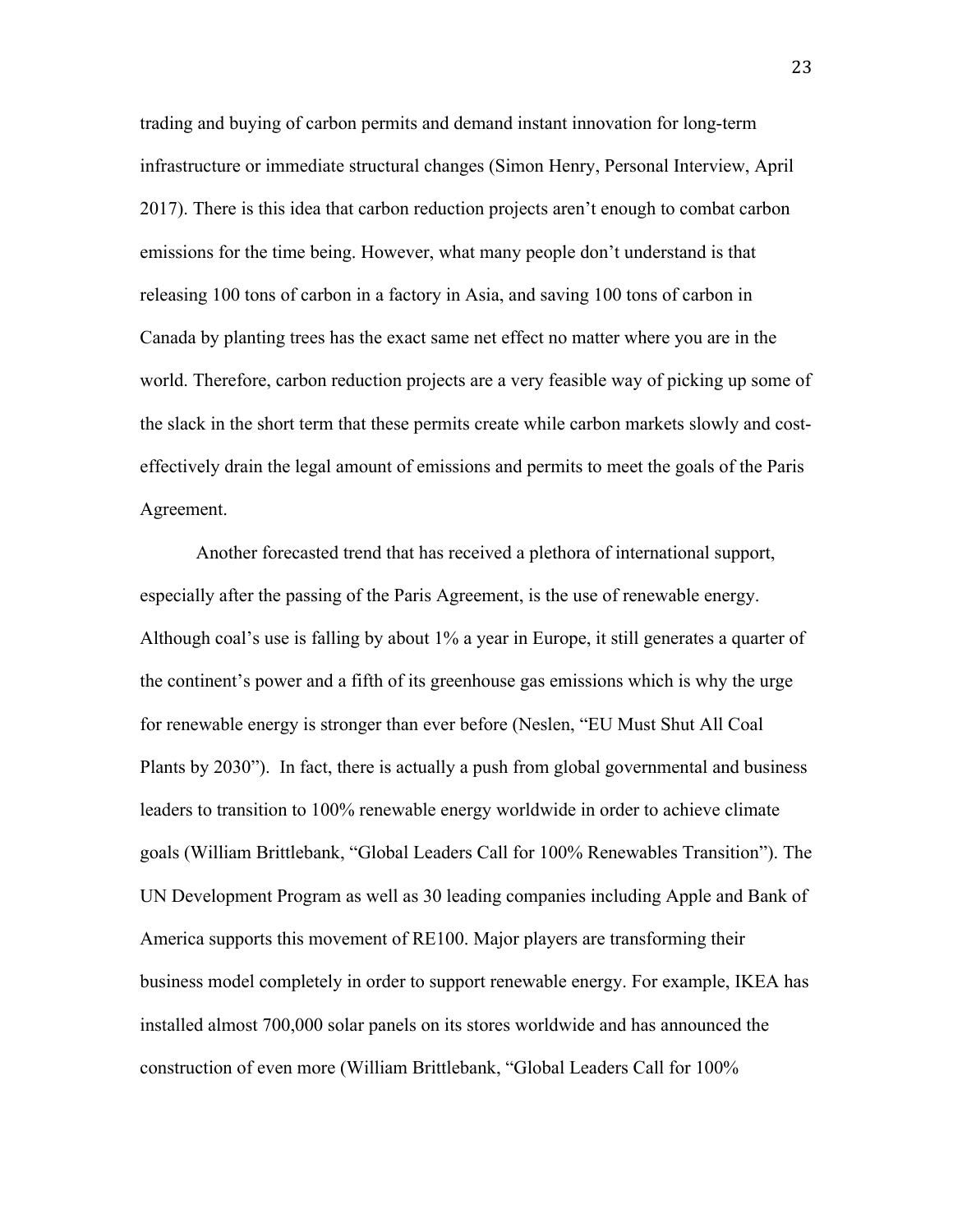trading and buying of carbon permits and demand instant innovation for long-term infrastructure or immediate structural changes (Simon Henry, Personal Interview, April 2017). There is this idea that carbon reduction projects aren't enough to combat carbon emissions for the time being. However, what many people don't understand is that releasing 100 tons of carbon in a factory in Asia, and saving 100 tons of carbon in Canada by planting trees has the exact same net effect no matter where you are in the world. Therefore, carbon reduction projects are a very feasible way of picking up some of the slack in the short term that these permits create while carbon markets slowly and costeffectively drain the legal amount of emissions and permits to meet the goals of the Paris Agreement.

Another forecasted trend that has received a plethora of international support, especially after the passing of the Paris Agreement, is the use of renewable energy. Although coal's use is falling by about 1% a year in Europe, it still generates a quarter of the continent's power and a fifth of its greenhouse gas emissions which is why the urge for renewable energy is stronger than ever before (Neslen, "EU Must Shut All Coal Plants by 2030"). In fact, there is actually a push from global governmental and business leaders to transition to 100% renewable energy worldwide in order to achieve climate goals (William Brittlebank, "Global Leaders Call for 100% Renewables Transition"). The UN Development Program as well as 30 leading companies including Apple and Bank of America supports this movement of RE100. Major players are transforming their business model completely in order to support renewable energy. For example, IKEA has installed almost 700,000 solar panels on its stores worldwide and has announced the construction of even more (William Brittlebank, "Global Leaders Call for 100%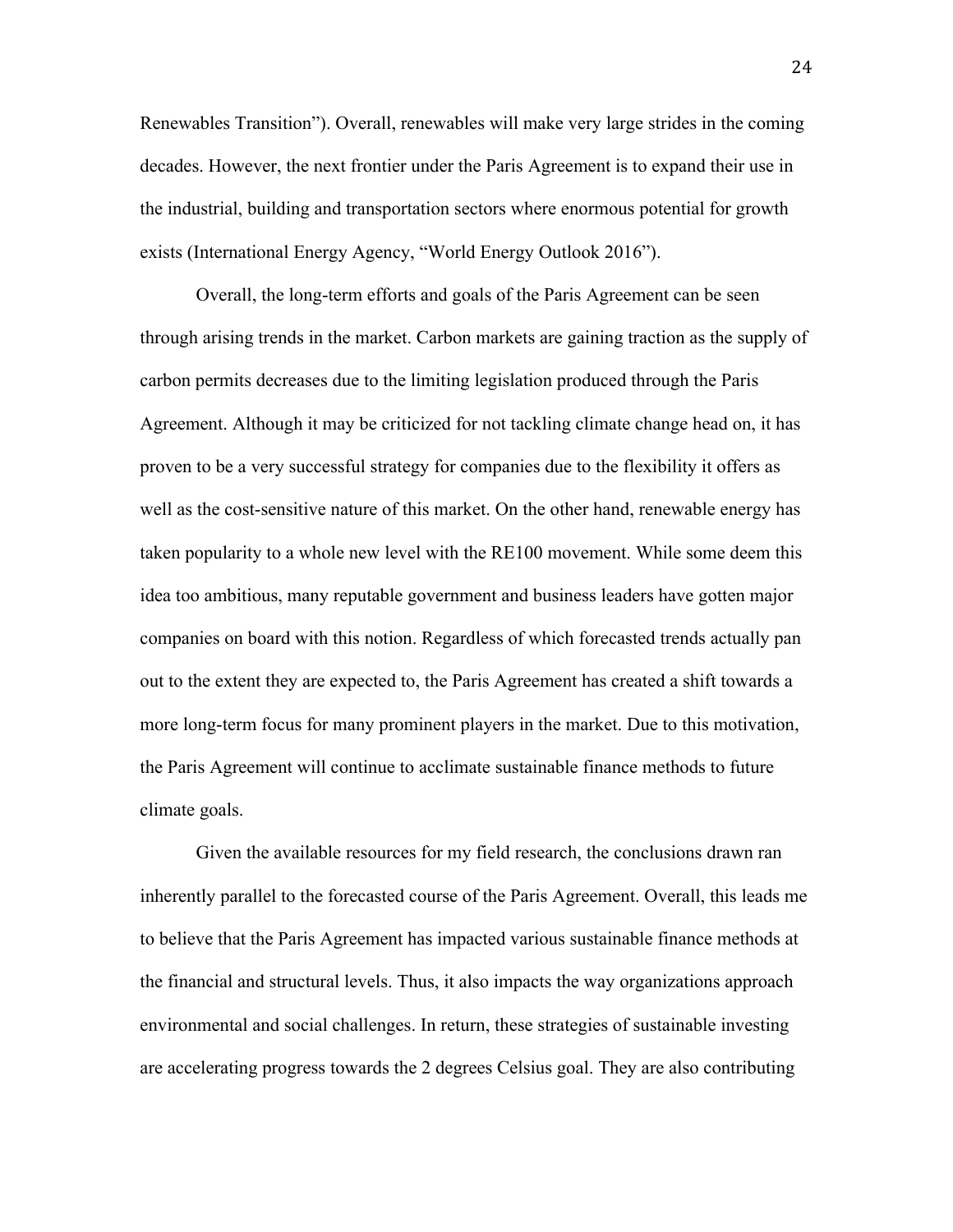Renewables Transition"). Overall, renewables will make very large strides in the coming decades. However, the next frontier under the Paris Agreement is to expand their use in the industrial, building and transportation sectors where enormous potential for growth exists (International Energy Agency, "World Energy Outlook 2016").

Overall, the long-term efforts and goals of the Paris Agreement can be seen through arising trends in the market. Carbon markets are gaining traction as the supply of carbon permits decreases due to the limiting legislation produced through the Paris Agreement. Although it may be criticized for not tackling climate change head on, it has proven to be a very successful strategy for companies due to the flexibility it offers as well as the cost-sensitive nature of this market. On the other hand, renewable energy has taken popularity to a whole new level with the RE100 movement. While some deem this idea too ambitious, many reputable government and business leaders have gotten major companies on board with this notion. Regardless of which forecasted trends actually pan out to the extent they are expected to, the Paris Agreement has created a shift towards a more long-term focus for many prominent players in the market. Due to this motivation, the Paris Agreement will continue to acclimate sustainable finance methods to future climate goals.

Given the available resources for my field research, the conclusions drawn ran inherently parallel to the forecasted course of the Paris Agreement. Overall, this leads me to believe that the Paris Agreement has impacted various sustainable finance methods at the financial and structural levels. Thus, it also impacts the way organizations approach environmental and social challenges. In return, these strategies of sustainable investing are accelerating progress towards the 2 degrees Celsius goal. They are also contributing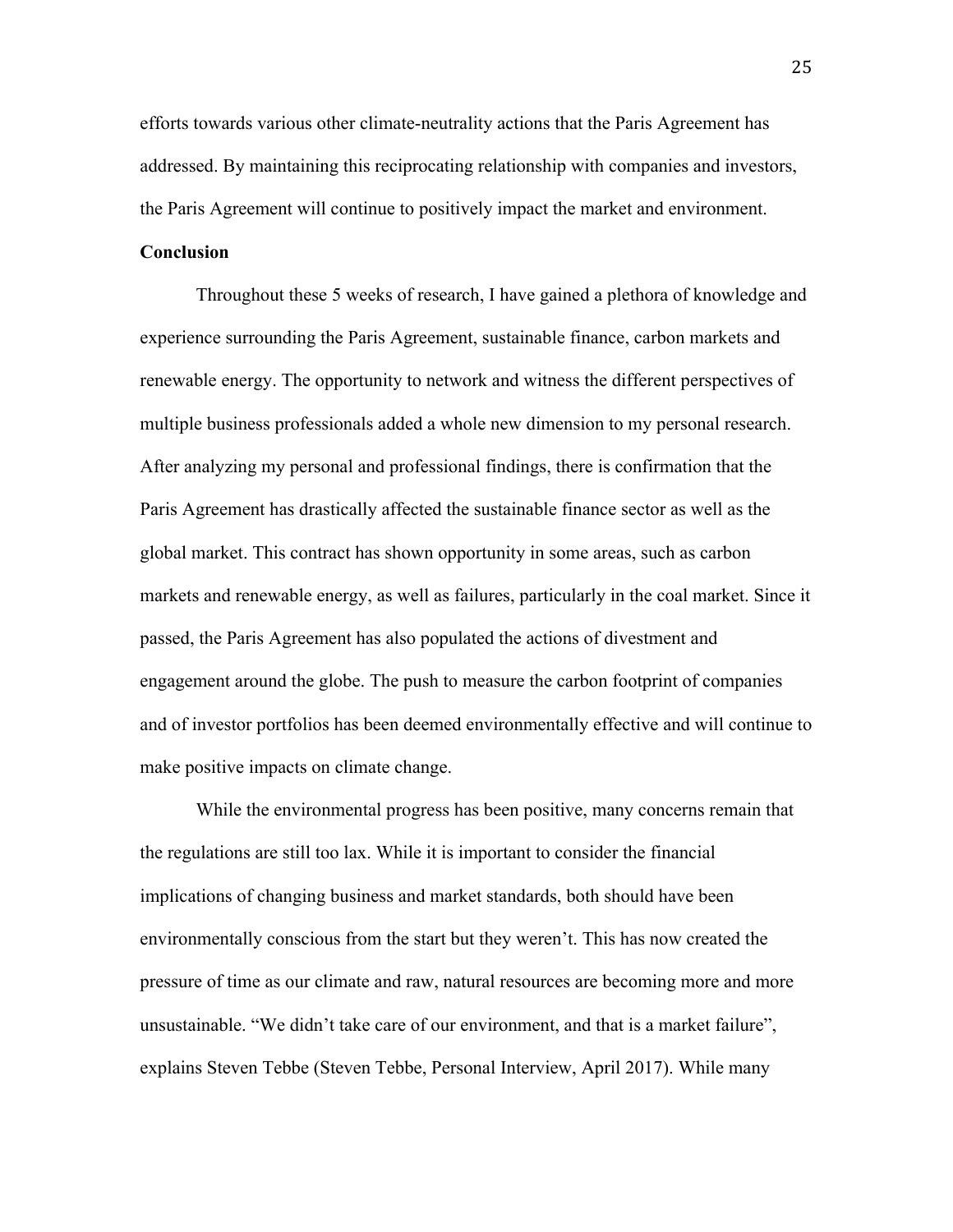efforts towards various other climate-neutrality actions that the Paris Agreement has addressed. By maintaining this reciprocating relationship with companies and investors, the Paris Agreement will continue to positively impact the market and environment.

### **Conclusion**

Throughout these 5 weeks of research, I have gained a plethora of knowledge and experience surrounding the Paris Agreement, sustainable finance, carbon markets and renewable energy. The opportunity to network and witness the different perspectives of multiple business professionals added a whole new dimension to my personal research. After analyzing my personal and professional findings, there is confirmation that the Paris Agreement has drastically affected the sustainable finance sector as well as the global market. This contract has shown opportunity in some areas, such as carbon markets and renewable energy, as well as failures, particularly in the coal market. Since it passed, the Paris Agreement has also populated the actions of divestment and engagement around the globe. The push to measure the carbon footprint of companies and of investor portfolios has been deemed environmentally effective and will continue to make positive impacts on climate change.

While the environmental progress has been positive, many concerns remain that the regulations are still too lax. While it is important to consider the financial implications of changing business and market standards, both should have been environmentally conscious from the start but they weren't. This has now created the pressure of time as our climate and raw, natural resources are becoming more and more unsustainable. "We didn't take care of our environment, and that is a market failure", explains Steven Tebbe (Steven Tebbe, Personal Interview, April 2017). While many

25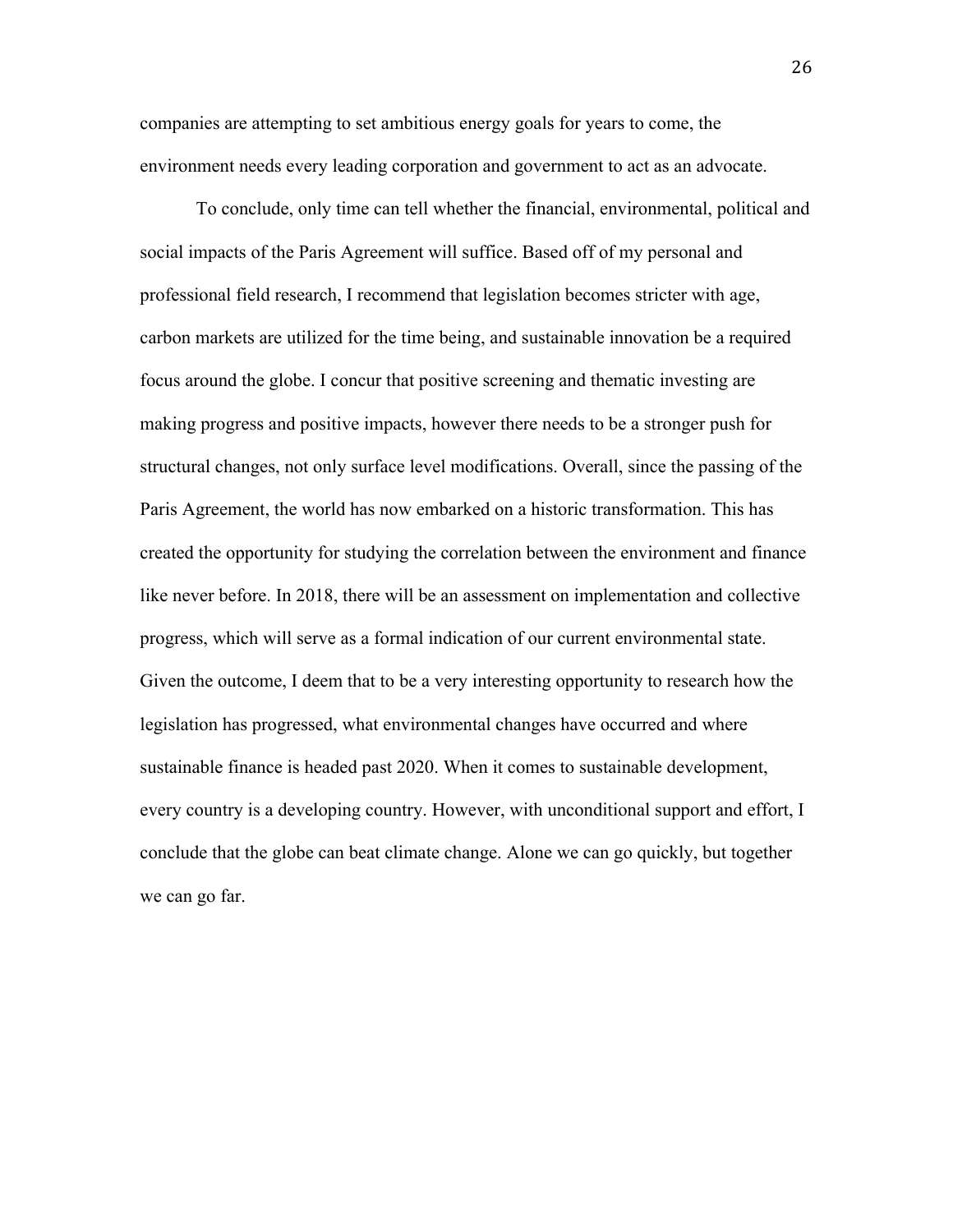companies are attempting to set ambitious energy goals for years to come, the environment needs every leading corporation and government to act as an advocate.

To conclude, only time can tell whether the financial, environmental, political and social impacts of the Paris Agreement will suffice. Based off of my personal and professional field research, I recommend that legislation becomes stricter with age, carbon markets are utilized for the time being, and sustainable innovation be a required focus around the globe. I concur that positive screening and thematic investing are making progress and positive impacts, however there needs to be a stronger push for structural changes, not only surface level modifications. Overall, since the passing of the Paris Agreement, the world has now embarked on a historic transformation. This has created the opportunity for studying the correlation between the environment and finance like never before. In 2018, there will be an assessment on implementation and collective progress, which will serve as a formal indication of our current environmental state. Given the outcome, I deem that to be a very interesting opportunity to research how the legislation has progressed, what environmental changes have occurred and where sustainable finance is headed past 2020. When it comes to sustainable development, every country is a developing country. However, with unconditional support and effort, I conclude that the globe can beat climate change. Alone we can go quickly, but together we can go far.

26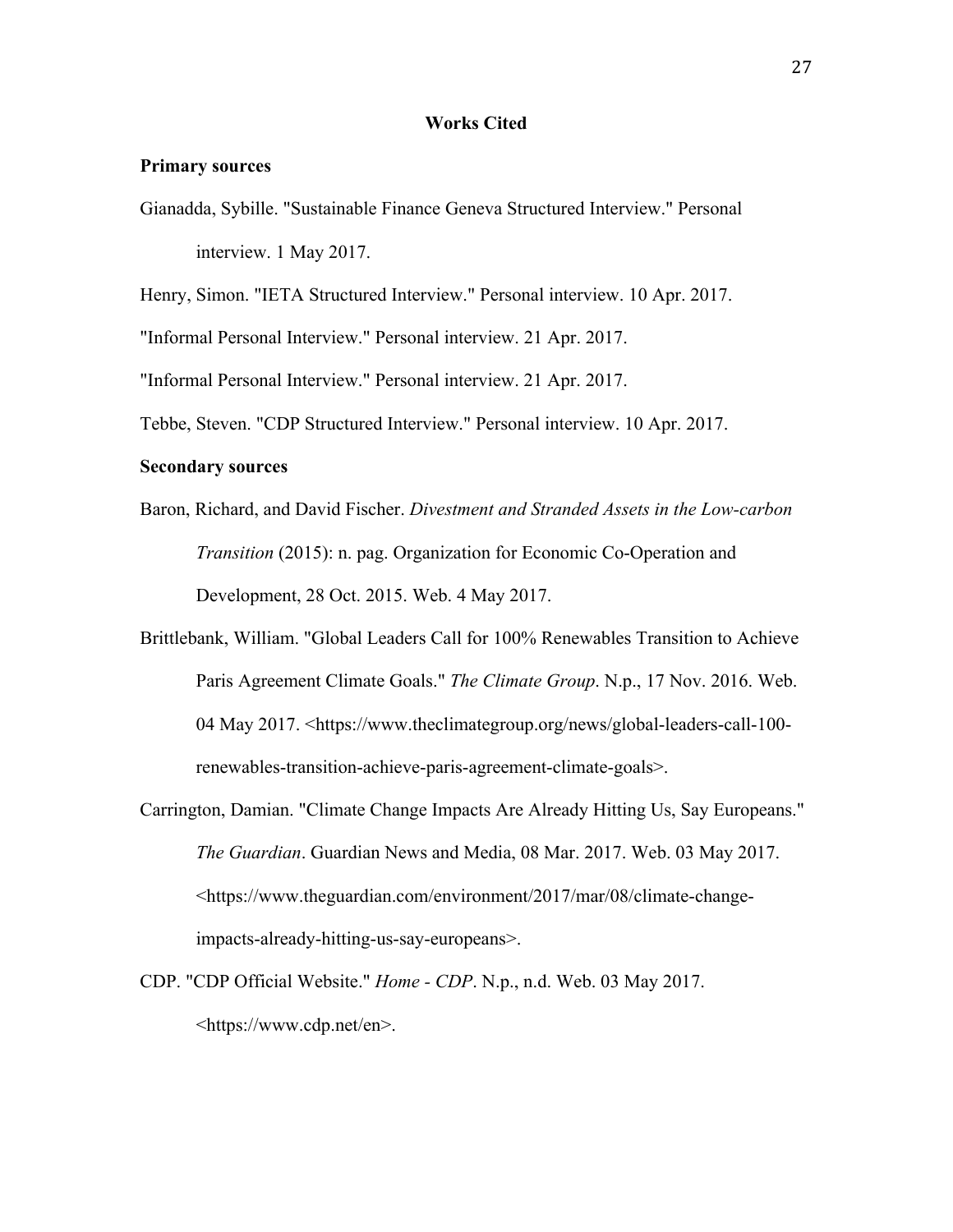#### **Works Cited**

### **Primary sources**

Gianadda, Sybille. "Sustainable Finance Geneva Structured Interview." Personal interview. 1 May 2017.

Henry, Simon. "IETA Structured Interview." Personal interview. 10 Apr. 2017.

"Informal Personal Interview." Personal interview. 21 Apr. 2017.

"Informal Personal Interview." Personal interview. 21 Apr. 2017.

Tebbe, Steven. "CDP Structured Interview." Personal interview. 10 Apr. 2017.

#### **Secondary sources**

- Baron, Richard, and David Fischer. *Divestment and Stranded Assets in the Low-carbon Transition* (2015): n. pag. Organization for Economic Co-Operation and Development, 28 Oct. 2015. Web. 4 May 2017.
- Brittlebank, William. "Global Leaders Call for 100% Renewables Transition to Achieve Paris Agreement Climate Goals." *The Climate Group*. N.p., 17 Nov. 2016. Web. 04 May 2017. <https://www.theclimategroup.org/news/global-leaders-call-100 renewables-transition-achieve-paris-agreement-climate-goals>.
- Carrington, Damian. "Climate Change Impacts Are Already Hitting Us, Say Europeans." *The Guardian*. Guardian News and Media, 08 Mar. 2017. Web. 03 May 2017. <https://www.theguardian.com/environment/2017/mar/08/climate-changeimpacts-already-hitting-us-say-europeans>.
- CDP. "CDP Official Website." *Home - CDP*. N.p., n.d. Web. 03 May 2017. <https://www.cdp.net/en>.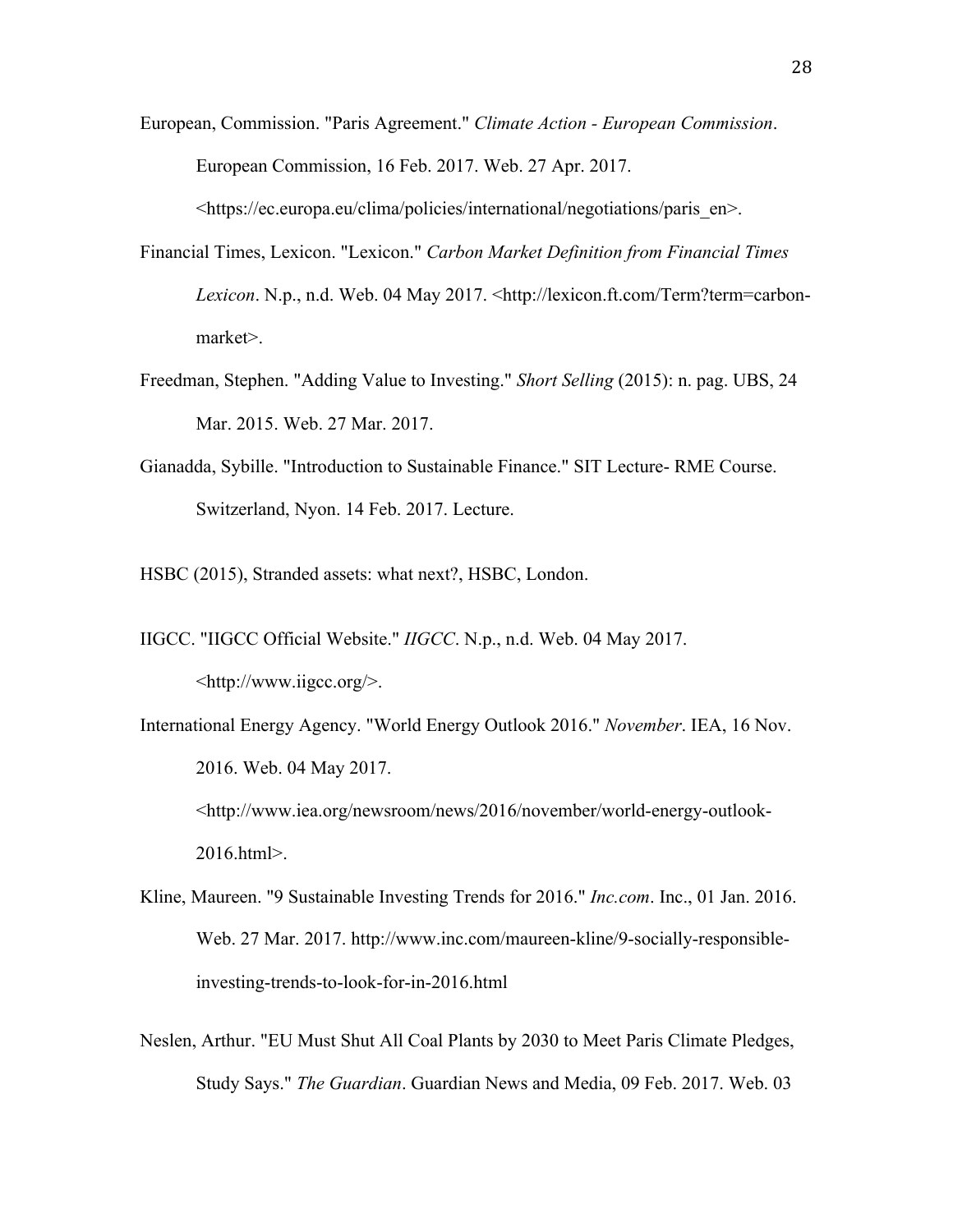- European, Commission. "Paris Agreement." *Climate Action - European Commission*. European Commission, 16 Feb. 2017. Web. 27 Apr. 2017. <https://ec.europa.eu/clima/policies/international/negotiations/paris\_en>.
- Financial Times, Lexicon. "Lexicon." *Carbon Market Definition from Financial Times Lexicon*. N.p., n.d. Web. 04 May 2017. <http://lexicon.ft.com/Term?term=carbonmarket>.
- Freedman, Stephen. "Adding Value to Investing." *Short Selling* (2015): n. pag. UBS, 24 Mar. 2015. Web. 27 Mar. 2017.
- Gianadda, Sybille. "Introduction to Sustainable Finance." SIT Lecture- RME Course. Switzerland, Nyon. 14 Feb. 2017. Lecture.
- HSBC (2015), Stranded assets: what next?, HSBC, London.
- IIGCC. "IIGCC Official Website." *IIGCC*. N.p., n.d. Web. 04 May 2017. <http://www.iigcc.org/>.
- International Energy Agency. "World Energy Outlook 2016." *November*. IEA, 16 Nov. 2016. Web. 04 May 2017. <http://www.iea.org/newsroom/news/2016/november/world-energy-outlook-2016.html>.
- Kline, Maureen. "9 Sustainable Investing Trends for 2016." *Inc.com*. Inc., 01 Jan. 2016. Web. 27 Mar. 2017. http://www.inc.com/maureen-kline/9-socially-responsibleinvesting-trends-to-look-for-in-2016.html
- Neslen, Arthur. "EU Must Shut All Coal Plants by 2030 to Meet Paris Climate Pledges, Study Says." *The Guardian*. Guardian News and Media, 09 Feb. 2017. Web. 03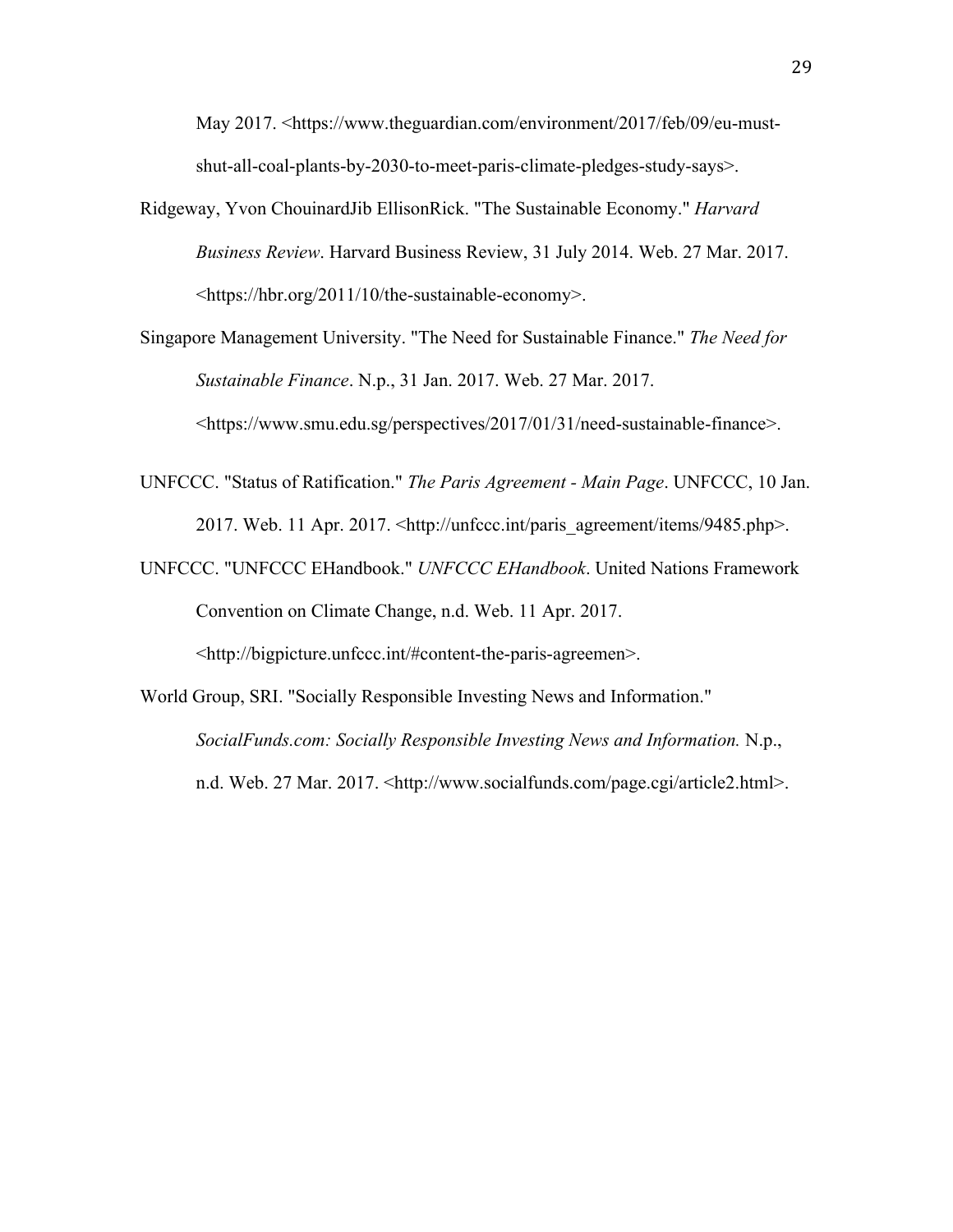May 2017. <https://www.theguardian.com/environment/2017/feb/09/eu-mustshut-all-coal-plants-by-2030-to-meet-paris-climate-pledges-study-says>.

Ridgeway, Yvon ChouinardJib EllisonRick. "The Sustainable Economy." *Harvard Business Review*. Harvard Business Review, 31 July 2014. Web. 27 Mar. 2017. <https://hbr.org/2011/10/the-sustainable-economy>.

Singapore Management University. "The Need for Sustainable Finance." *The Need for Sustainable Finance*. N.p., 31 Jan. 2017. Web. 27 Mar. 2017. <https://www.smu.edu.sg/perspectives/2017/01/31/need-sustainable-finance>.

- UNFCCC. "Status of Ratification." *The Paris Agreement - Main Page*. UNFCCC, 10 Jan. 2017. Web. 11 Apr. 2017. <http://unfccc.int/paris\_agreement/items/9485.php>.
- UNFCCC. "UNFCCC EHandbook." *UNFCCC EHandbook*. United Nations Framework Convention on Climate Change, n.d. Web. 11 Apr. 2017.

<http://bigpicture.unfccc.int/#content-the-paris-agreemen>.

World Group, SRI. "Socially Responsible Investing News and Information." *SocialFunds.com: Socially Responsible Investing News and Information.* N.p., n.d. Web. 27 Mar. 2017. <http://www.socialfunds.com/page.cgi/article2.html>.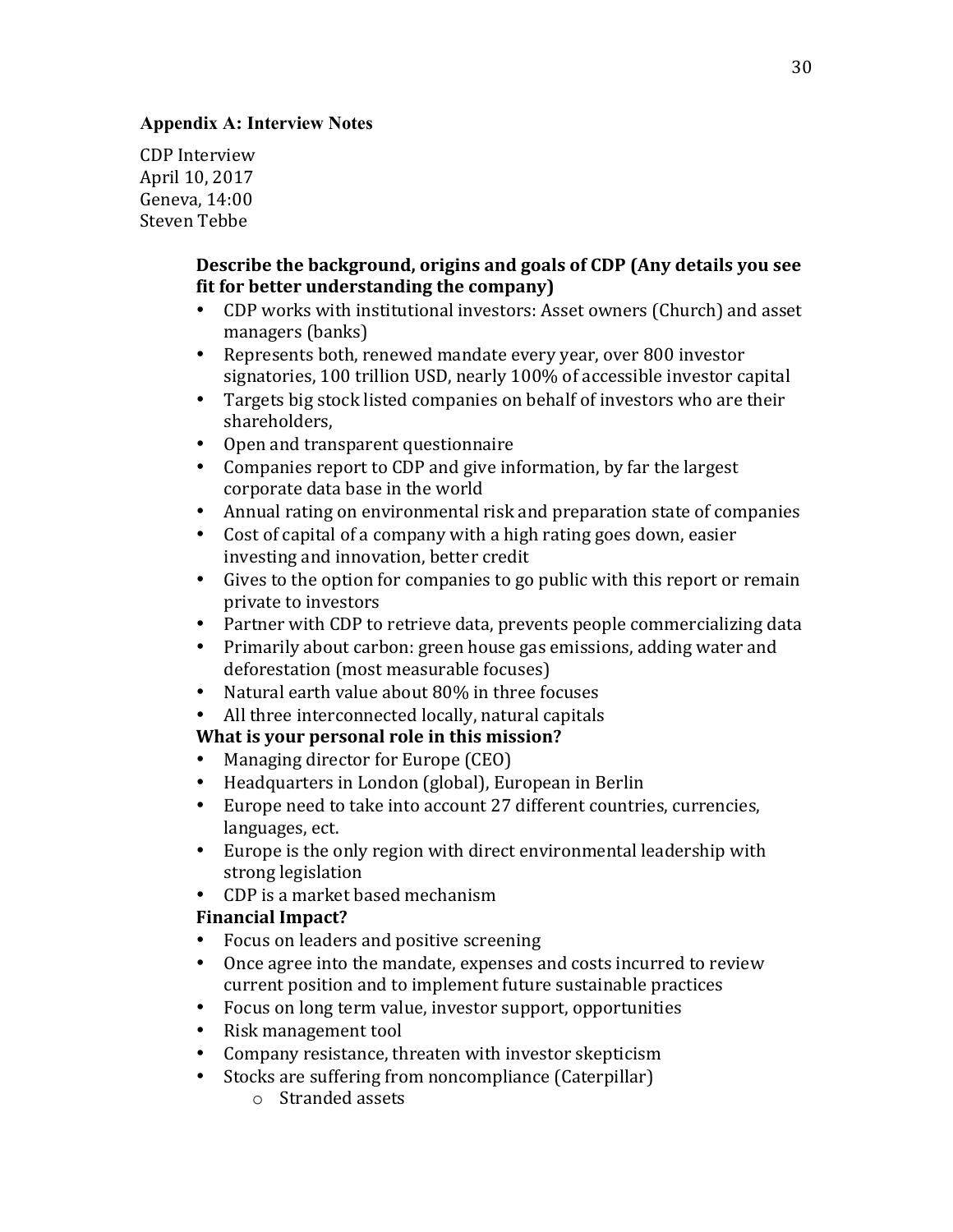### **Appendix A: Interview Notes**

CDP Interview April 10, 2017 Geneva, 14:00 Steven Tebbe

### **Describe the background, origins and goals of CDP (Any details you see**) **fit for better understanding the company)**

- CDP works with institutional investors: Asset owners (Church) and asset managers (banks)
- Represents both, renewed mandate every year, over 800 investor signatories, 100 trillion USD, nearly 100% of accessible investor capital
- Targets big stock listed companies on behalf of investors who are their shareholders,
- Open and transparent questionnaire
- Companies report to CDP and give information, by far the largest corporate data base in the world
- Annual rating on environmental risk and preparation state of companies
- Cost of capital of a company with a high rating goes down, easier investing and innovation, better credit
- Gives to the option for companies to go public with this report or remain private to investors
- Partner with CDP to retrieve data, prevents people commercializing data
- Primarily about carbon: green house gas emissions, adding water and deforestation (most measurable focuses)
- Natural earth value about  $80\%$  in three focuses
- All three interconnected locally, natural capitals

# **What is your personal role in this mission?**

- Managing director for Europe (CEO)
- Headquarters in London (global), European in Berlin
- Europe need to take into account 27 different countries, currencies, languages, ect.
- Europe is the only region with direct environmental leadership with strong legislation
- CDP is a market based mechanism

# **Financial Impact?**

- Focus on leaders and positive screening
- Once agree into the mandate, expenses and costs incurred to review current position and to implement future sustainable practices
- Focus on long term value, investor support, opportunities
- Risk management tool
- Company resistance, threaten with investor skepticism
- Stocks are suffering from noncompliance (Caterpillar)
	- $\circ$  Stranded assets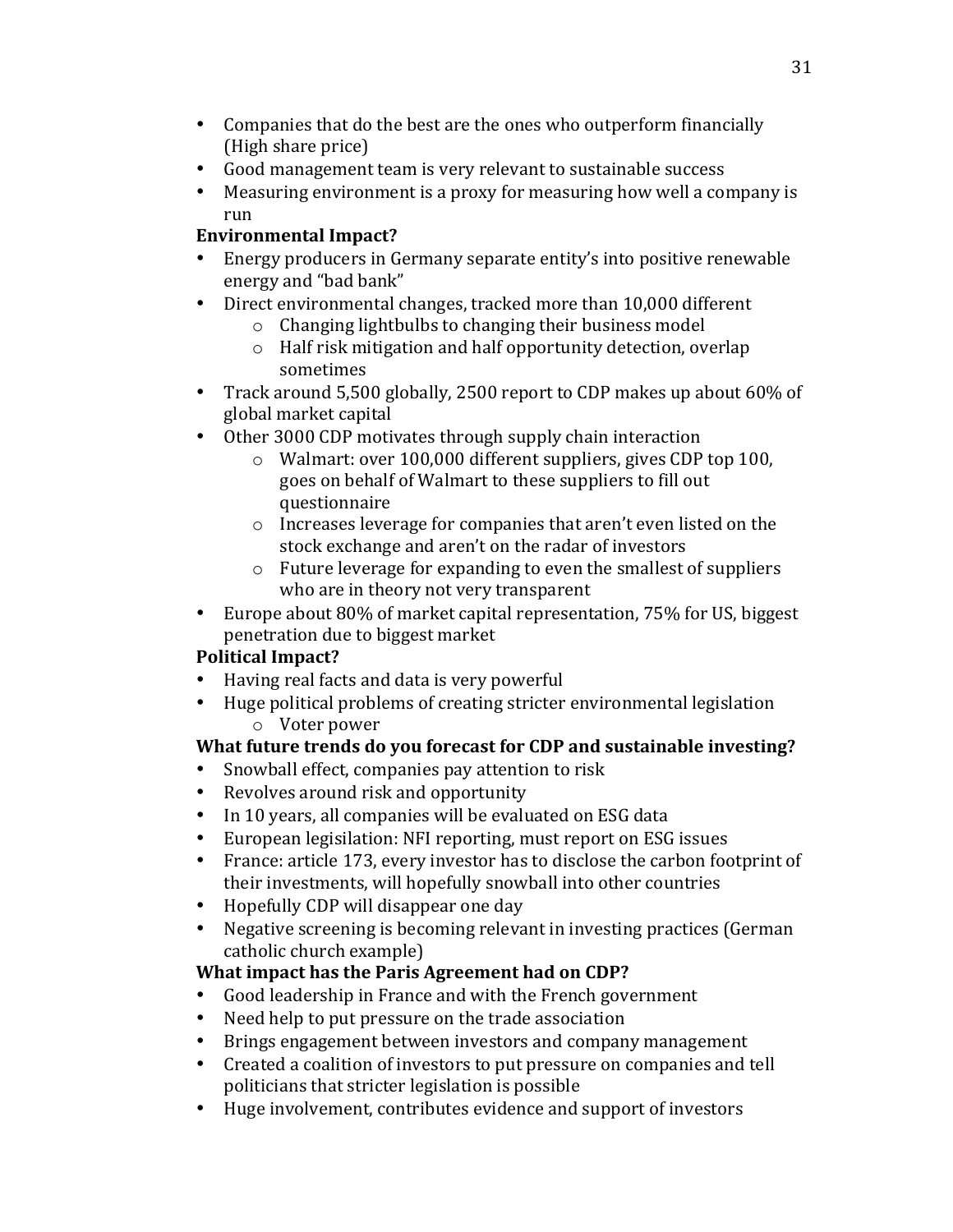- Companies that do the best are the ones who outperform financially (High share price)
- Good management team is very relevant to sustainable success
- Measuring environment is a proxy for measuring how well a company is run

# **Environmental Impact?**

- Energy producers in Germany separate entity's into positive renewable energy and "bad bank"
- Direct environmental changes, tracked more than 10,000 different
	- $\circ$  Changing lightbulbs to changing their business model
	- $\circ$  Half risk mitigation and half opportunity detection, overlap sometimes
- Track around 5,500 globally, 2500 report to CDP makes up about 60% of global market capital
- Other 3000 CDP motivates through supply chain interaction
	- $\circ$  Walmart: over 100,000 different suppliers, gives CDP top 100, goes on behalf of Walmart to these suppliers to fill out questionnaire
	- $\circ$  Increases leverage for companies that aren't even listed on the stock exchange and aren't on the radar of investors
	- $\circ$  Future leverage for expanding to even the smallest of suppliers who are in theory not very transparent
- Europe about 80% of market capital representation, 75% for US, biggest penetration due to biggest market

# **Political Impact?**

- Having real facts and data is very powerful
- Huge political problems of creating stricter environmental legislation  $\circ$  Voter power

# **What future trends do you forecast for CDP and sustainable investing?**

- Snowball effect, companies pay attention to risk
- Revolves around risk and opportunity
- In 10 years, all companies will be evaluated on ESG data
- European legisilation: NFI reporting, must report on ESG issues
- France: article 173, every investor has to disclose the carbon footprint of their investments, will hopefully snowball into other countries
- Hopefully CDP will disappear one day
- Negative screening is becoming relevant in investing practices (German catholic church example)

# **What impact has the Paris Agreement had on CDP?**

- Good leadership in France and with the French government
- Need help to put pressure on the trade association
- Brings engagement between investors and company management
- Created a coalition of investors to put pressure on companies and tell politicians that stricter legislation is possible
- Huge involvement, contributes evidence and support of investors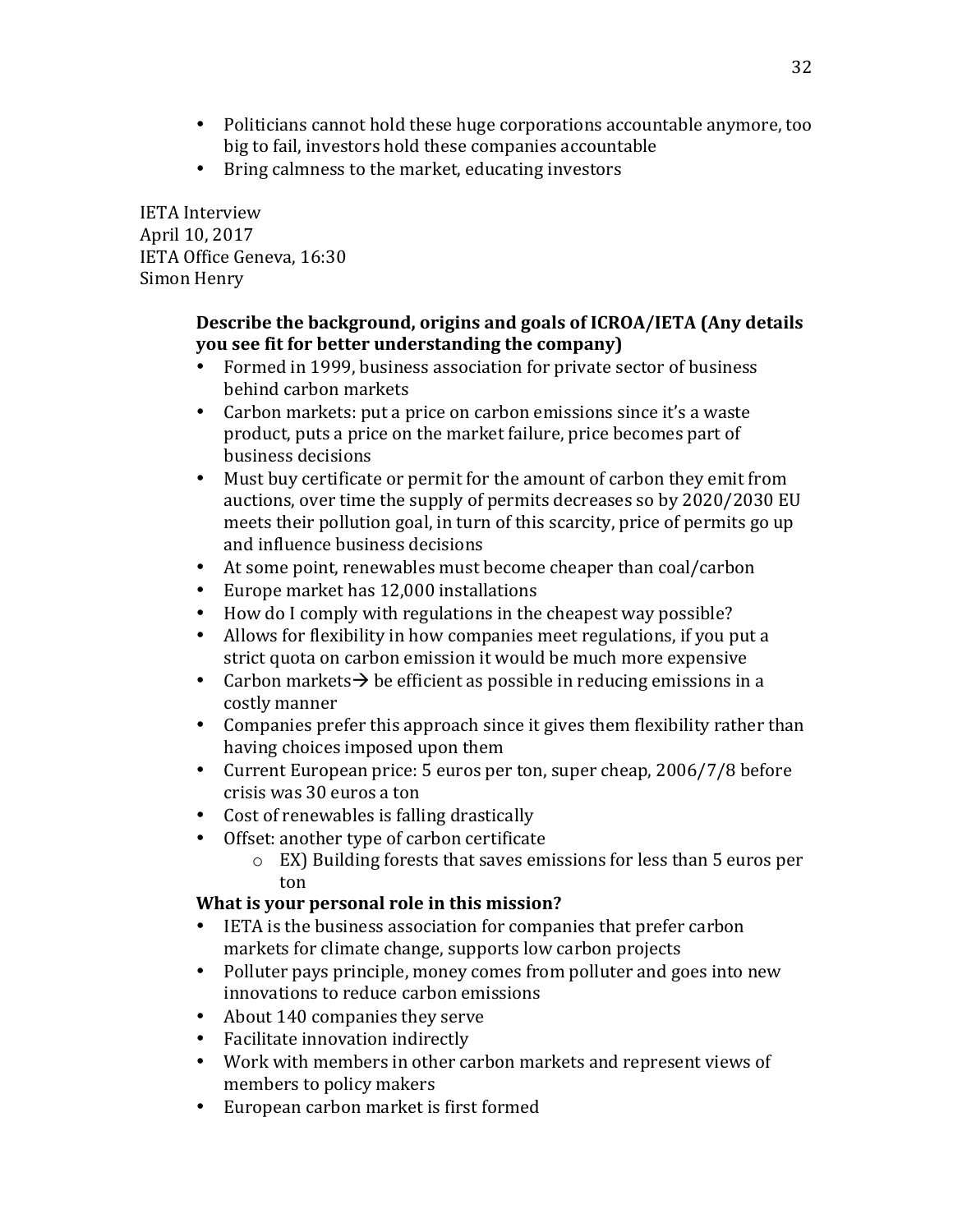- Politicians cannot hold these huge corporations accountable anymore, too big to fail, investors hold these companies accountable
- Bring calmness to the market, educating investors

IETA Interview April 10, 2017 IETA Office Geneva, 16:30 Simon Henry

### **Describe the background, origins and goals of ICROA/IETA (Any details you** see fit for better understanding the company)

- Formed in 1999, business association for private sector of business behind carbon markets
- Carbon markets: put a price on carbon emissions since it's a waste product, puts a price on the market failure, price becomes part of business decisions
- Must buy certificate or permit for the amount of carbon they emit from auctions, over time the supply of permits decreases so by 2020/2030 EU meets their pollution goal, in turn of this scarcity, price of permits go up and influence business decisions
- At some point, renewables must become cheaper than coal/carbon
- Europe market has 12,000 installations
- How do I comply with regulations in the cheapest way possible?
- Allows for flexibility in how companies meet regulations, if you put a strict quota on carbon emission it would be much more expensive
- Carbon markets  $\rightarrow$  be efficient as possible in reducing emissions in a costly manner
- Companies prefer this approach since it gives them flexibility rather than having choices imposed upon them
- Current European price: 5 euros per ton, super cheap, 2006/7/8 before crisis was 30 euros a ton
- Cost of renewables is falling drastically
- Offset: another type of carbon certificate
	- $\circ$  EX) Building forests that saves emissions for less than 5 euros per ton

# **What is your personal role in this mission?**

- IETA is the business association for companies that prefer carbon markets for climate change, supports low carbon projects
- Polluter pays principle, money comes from polluter and goes into new innovations to reduce carbon emissions
- About 140 companies they serve
- Facilitate innovation indirectly
- Work with members in other carbon markets and represent views of members to policy makers
- European carbon market is first formed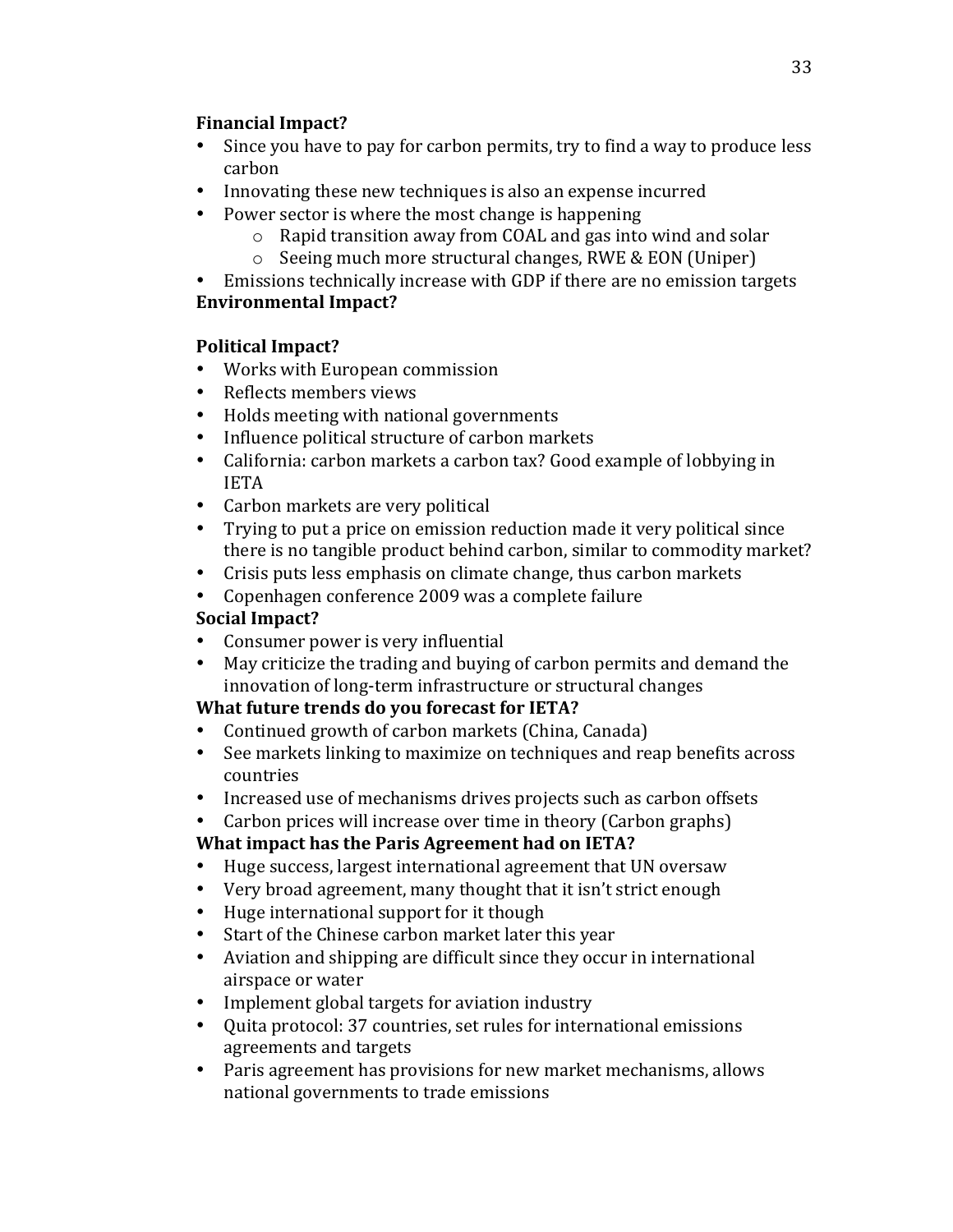### **Financial Impact?**

- Since you have to pay for carbon permits, try to find a way to produce less carbon
- Innovating these new techniques is also an expense incurred
- Power sector is where the most change is happening
	- $\circ$  Rapid transition away from COAL and gas into wind and solar
	- $\circ$  Seeing much more structural changes, RWE & EON (Uniper)
- Emissions technically increase with GDP if there are no emission targets

# **Environmental Impact?**

# **Political Impact?**

- Works with European commission
- Reflects members views
- Holds meeting with national governments
- Influence political structure of carbon markets
- California: carbon markets a carbon tax? Good example of lobbying in IETA
- Carbon markets are very political
- Trying to put a price on emission reduction made it very political since there is no tangible product behind carbon, similar to commodity market?
- Crisis puts less emphasis on climate change, thus carbon markets
- Copenhagen conference 2009 was a complete failure

# **Social Impact?**

- Consumer power is very influential
- May criticize the trading and buying of carbon permits and demand the innovation of long-term infrastructure or structural changes

# **What future trends do you forecast for IETA?**

- Continued growth of carbon markets (China, Canada)
- See markets linking to maximize on techniques and reap benefits across countries
- Increased use of mechanisms drives projects such as carbon offsets
- Carbon prices will increase over time in theory (Carbon graphs)

# **What impact has the Paris Agreement had on IETA?**

- Huge success, largest international agreement that UN oversaw
- Very broad agreement, many thought that it isn't strict enough
- Huge international support for it though
- Start of the Chinese carbon market later this year
- Aviation and shipping are difficult since they occur in international airspace or water
- Implement global targets for aviation industry
- Ouita protocol: 37 countries, set rules for international emissions agreements and targets
- Paris agreement has provisions for new market mechanisms, allows national governments to trade emissions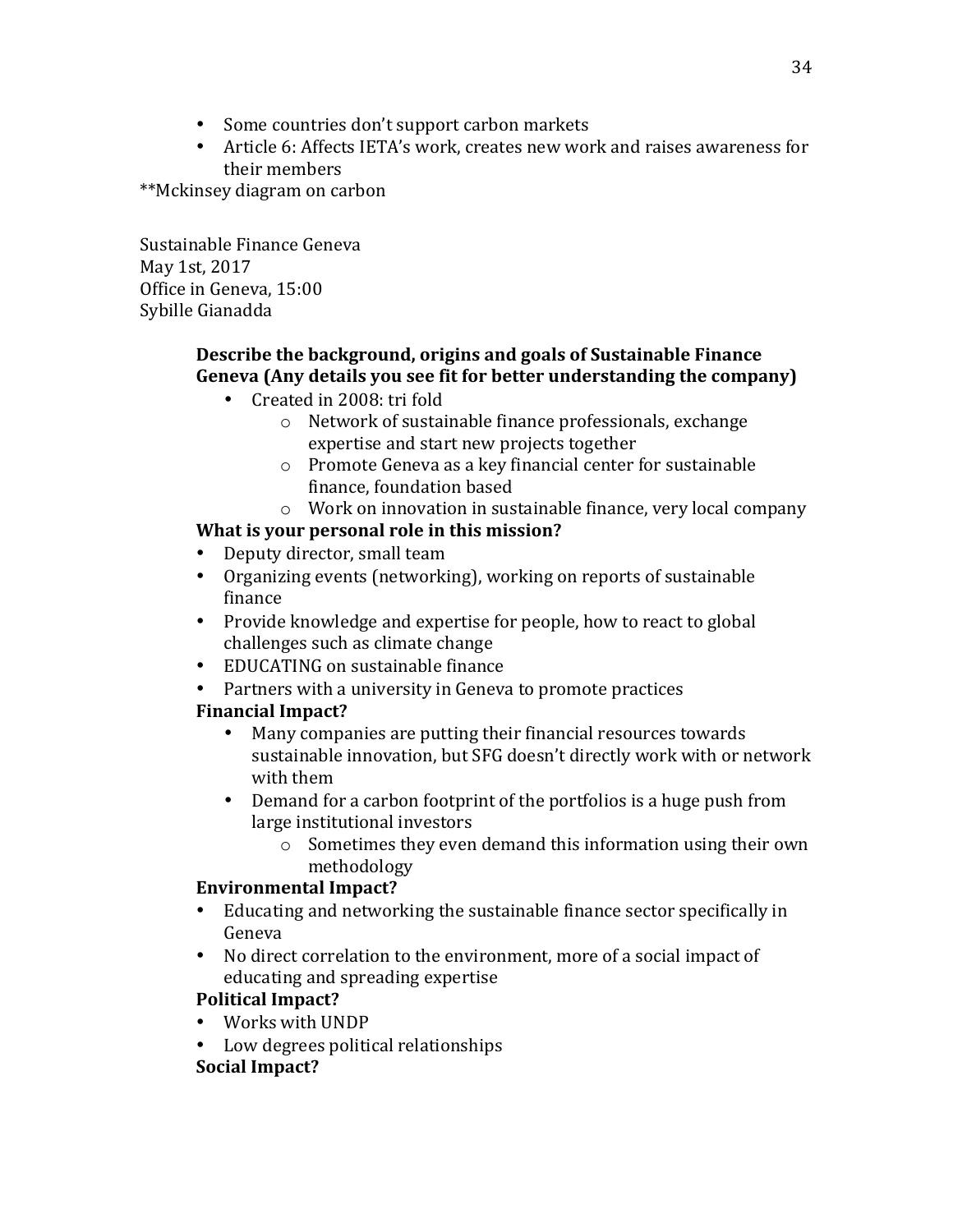- Some countries don't support carbon markets
- Article 6: Affects IETA's work, creates new work and raises awareness for their members

\*\*Mckinsey diagram on carbon

Sustainable Finance Geneva May 1st, 2017 Office in Geneva, 15:00 Sybille Gianadda

# **Describe the background, origins and goals of Sustainable Finance** Geneva (Any details you see fit for better understanding the company)

- Created in 2008: tri fold
	- $\circ$  Network of sustainable finance professionals, exchange expertise and start new projects together
	- $\circ$  Promote Geneva as a key financial center for sustainable finance, foundation based
	- $\circ$  Work on innovation in sustainable finance, very local company

# **What is your personal role in this mission?**

- Deputy director, small team
- Organizing events (networking), working on reports of sustainable finance
- Provide knowledge and expertise for people, how to react to global challenges such as climate change
- EDUCATING on sustainable finance
- Partners with a university in Geneva to promote practices

# **Financial Impact?**

- Many companies are putting their financial resources towards sustainable innovation, but SFG doesn't directly work with or network with them
- Demand for a carbon footprint of the portfolios is a huge push from large institutional investors
	- $\circ$  Sometimes they even demand this information using their own methodology

# **Environmental Impact?**

- Educating and networking the sustainable finance sector specifically in Geneva
- No direct correlation to the environment, more of a social impact of educating and spreading expertise

# **Political Impact?**

- Works with UNDP
- Low degrees political relationships

# **Social Impact?**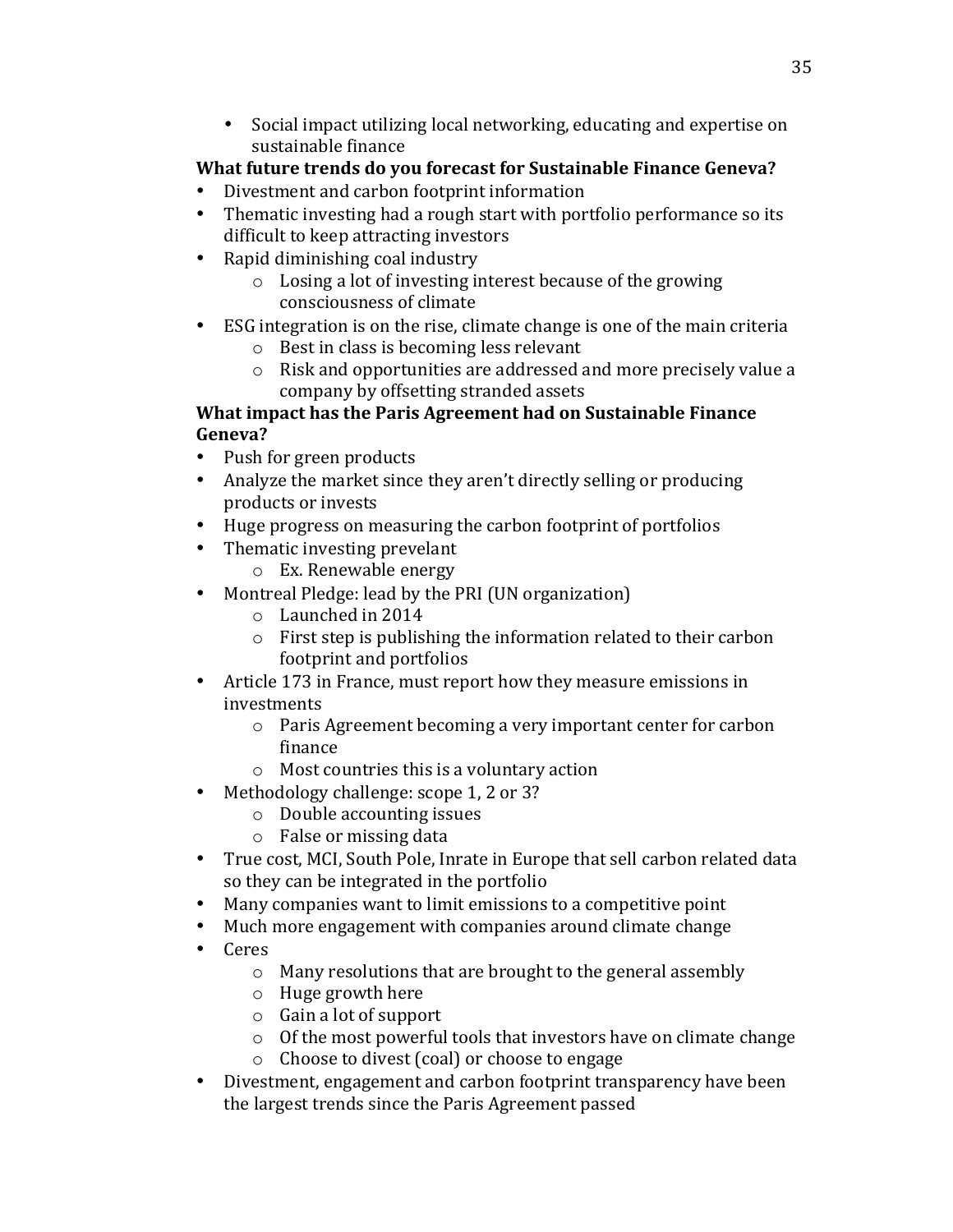• Social impact utilizing local networking, educating and expertise on sustainable finance

# **What future trends do you forecast for Sustainable Finance Geneva?**

- Divestment and carbon footprint information
- Thematic investing had a rough start with portfolio performance so its difficult to keep attracting investors
- Rapid diminishing coal industry
	- $\circ$  Losing a lot of investing interest because of the growing consciousness of climate
- ESG integration is on the rise, climate change is one of the main criteria
	- $\circ$  Best in class is becoming less relevant
	- $\circ$  Risk and opportunities are addressed and more precisely value a company by offsetting stranded assets

# **What impact has the Paris Agreement had on Sustainable Finance Geneva?**

- Push for green products
- Analyze the market since they aren't directly selling or producing products or invests
- Huge progress on measuring the carbon footprint of portfolios
- Thematic investing prevelant
	- $\circ$  Ex. Renewable energy
- Montreal Pledge: lead by the PRI (UN organization)
	- $\circ$  Launched in 2014
	- $\circ$  First step is publishing the information related to their carbon footprint and portfolios
- Article 173 in France, must report how they measure emissions in investments
	- o Paris Agreement becoming a very important center for carbon finance
	- $\circ$  Most countries this is a voluntary action
- Methodology challenge: scope 1, 2 or 3?
	- $\circ$  Double accounting issues
	- $\circ$  False or missing data
- True cost, MCI, South Pole, Inrate in Europe that sell carbon related data so they can be integrated in the portfolio
- Many companies want to limit emissions to a competitive point
- Much more engagement with companies around climate change
- Ceres
	- $\circ$  Many resolutions that are brought to the general assembly
	- $\circ$  Huge growth here
	- $\circ$  Gain a lot of support
	- $\circ$  Of the most powerful tools that investors have on climate change
	- $\circ$  Choose to divest (coal) or choose to engage
- Divestment, engagement and carbon footprint transparency have been the largest trends since the Paris Agreement passed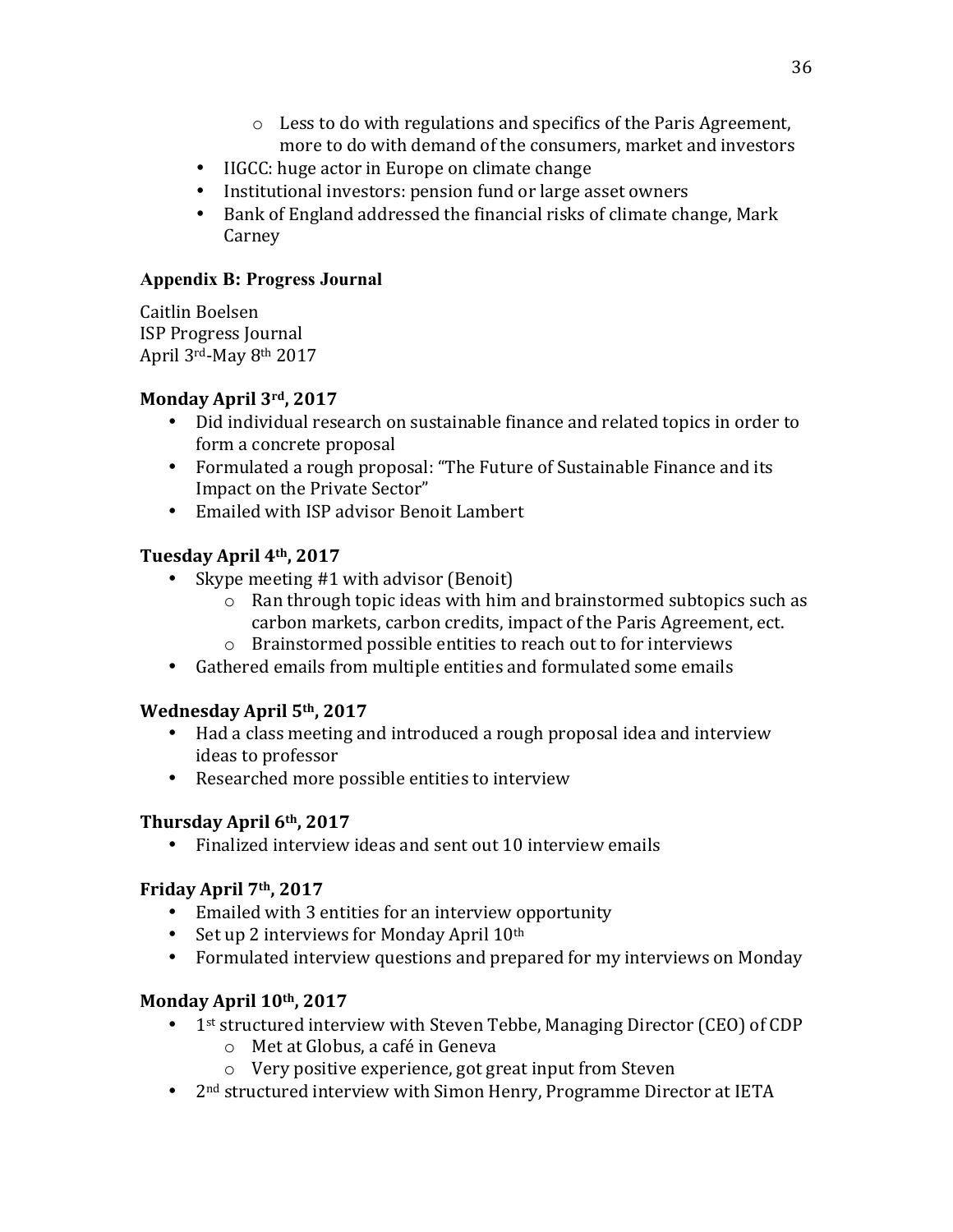- $\circ$  Less to do with regulations and specifics of the Paris Agreement, more to do with demand of the consumers, market and investors
- IIGCC: huge actor in Europe on climate change
- Institutional investors: pension fund or large asset owners
- Bank of England addressed the financial risks of climate change, Mark Carney

### **Appendix B: Progress Journal**

Caitlin Boelsen ISP Progress Journal April  $3^{\text{rd}}$ -May  $8^{\text{th}}$  2017

# Monday April 3rd, 2017

- Did individual research on sustainable finance and related topics in order to form a concrete proposal
- Formulated a rough proposal: "The Future of Sustainable Finance and its Impact on the Private Sector"
- Emailed with ISP advisor Benoit Lambert

# **Tuesday April 4th, 2017**

- Skype meeting  $#1$  with advisor (Benoit)
	- $\circ$  Ran through topic ideas with him and brainstormed subtopics such as carbon markets, carbon credits, impact of the Paris Agreement, ect.
	- $\circ$  Brainstormed possible entities to reach out to for interviews
- Gathered emails from multiple entities and formulated some emails

# **Wednesday April 5th, 2017**

- Had a class meeting and introduced a rough proposal idea and interview ideas to professor
- Researched more possible entities to interview

# **Thursday April 6th, 2017**

• Finalized interview ideas and sent out 10 interview emails

# Friday April 7<sup>th</sup>, 2017

- Emailed with 3 entities for an interview opportunity
- Set up 2 interviews for Monday April  $10<sup>th</sup>$
- Formulated interview questions and prepared for my interviews on Monday

# Monday April 10<sup>th</sup>, 2017

- 1st structured interview with Steven Tebbe, Managing Director (CEO) of CDP
	- $\circ$  Met at Globus, a café in Geneva
	- $\circ$  Very positive experience, got great input from Steven
- $2<sup>nd</sup>$  structured interview with Simon Henry, Programme Director at IETA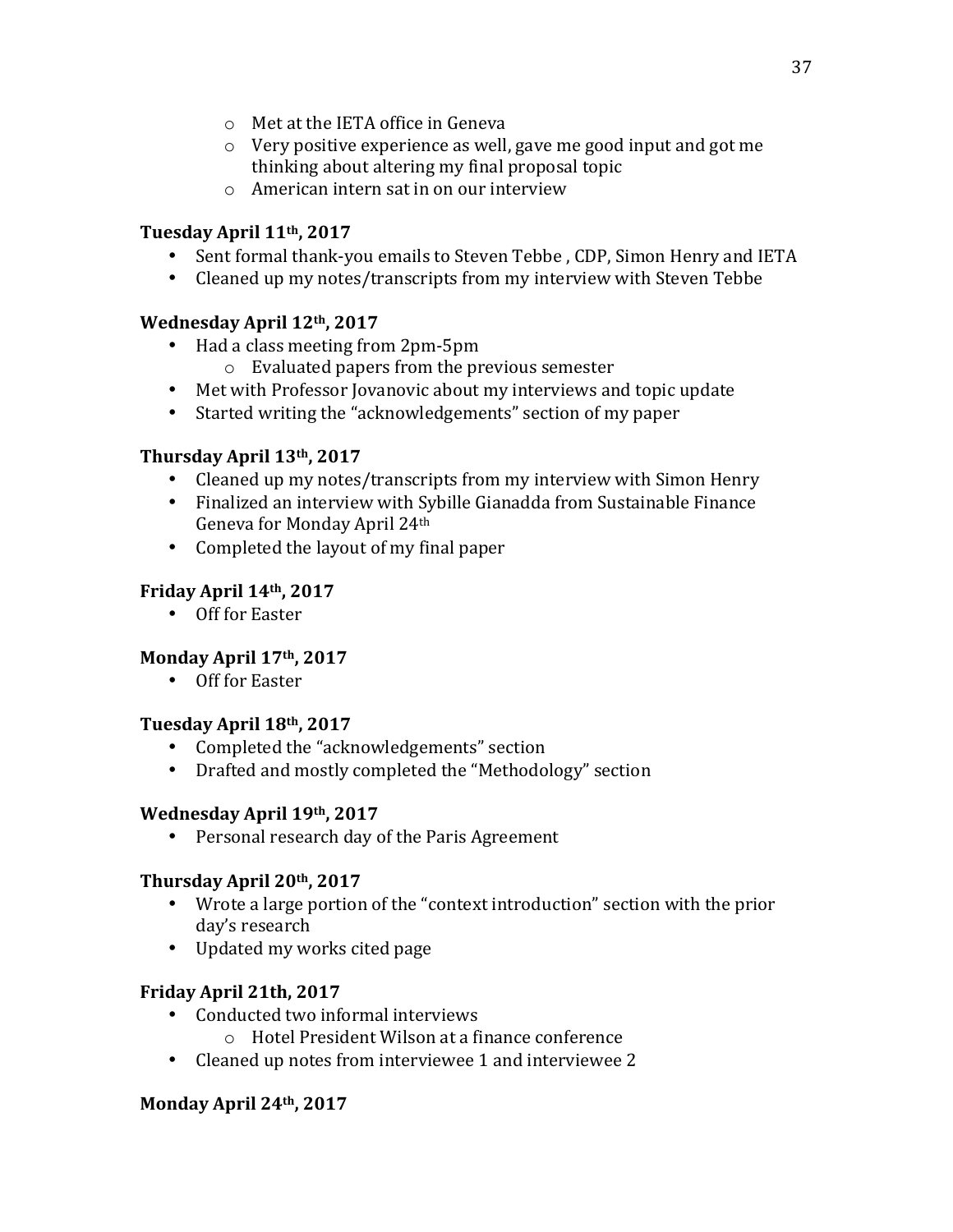- $\circ$  Met at the IETA office in Geneva
- $\circ$  Very positive experience as well, gave me good input and got me thinking about altering my final proposal topic
- $\circ$  American intern sat in on our interview

# Tuesday April 11<sup>th</sup>, 2017

- Sent formal thank-you emails to Steven Tebbe, CDP, Simon Henry and IETA
- Cleaned up my notes/transcripts from my interview with Steven Tebbe

# **Wednesday April 12th, 2017**

- Had a class meeting from 2pm-5pm
	- $\circ$  Evaluated papers from the previous semester
- Met with Professor Jovanovic about my interviews and topic update
- Started writing the "acknowledgements" section of my paper

# **Thursday April 13th, 2017**

- Cleaned up my notes/transcripts from my interview with Simon Henry
- Finalized an interview with Sybille Gianadda from Sustainable Finance Geneva for Monday April 24th
- Completed the layout of my final paper

# Friday April 14<sup>th</sup>, 2017

• Off for Easter

# Monday April 17<sup>th</sup>, 2017

• Off for Easter

# **Tuesday April 18th, 2017**

- Completed the "acknowledgements" section
- Drafted and mostly completed the "Methodology" section

# Wednesday April 19th, 2017

• Personal research day of the Paris Agreement

# **Thursday April 20th, 2017**

- Wrote a large portion of the "context introduction" section with the prior day's research
- Updated my works cited page

# **Friday April 21th, 2017**

- Conducted two informal interviews
	- $\circ$  Hotel President Wilson at a finance conference
- Cleaned up notes from interviewee 1 and interviewee 2

# Monday April 24<sup>th</sup>, 2017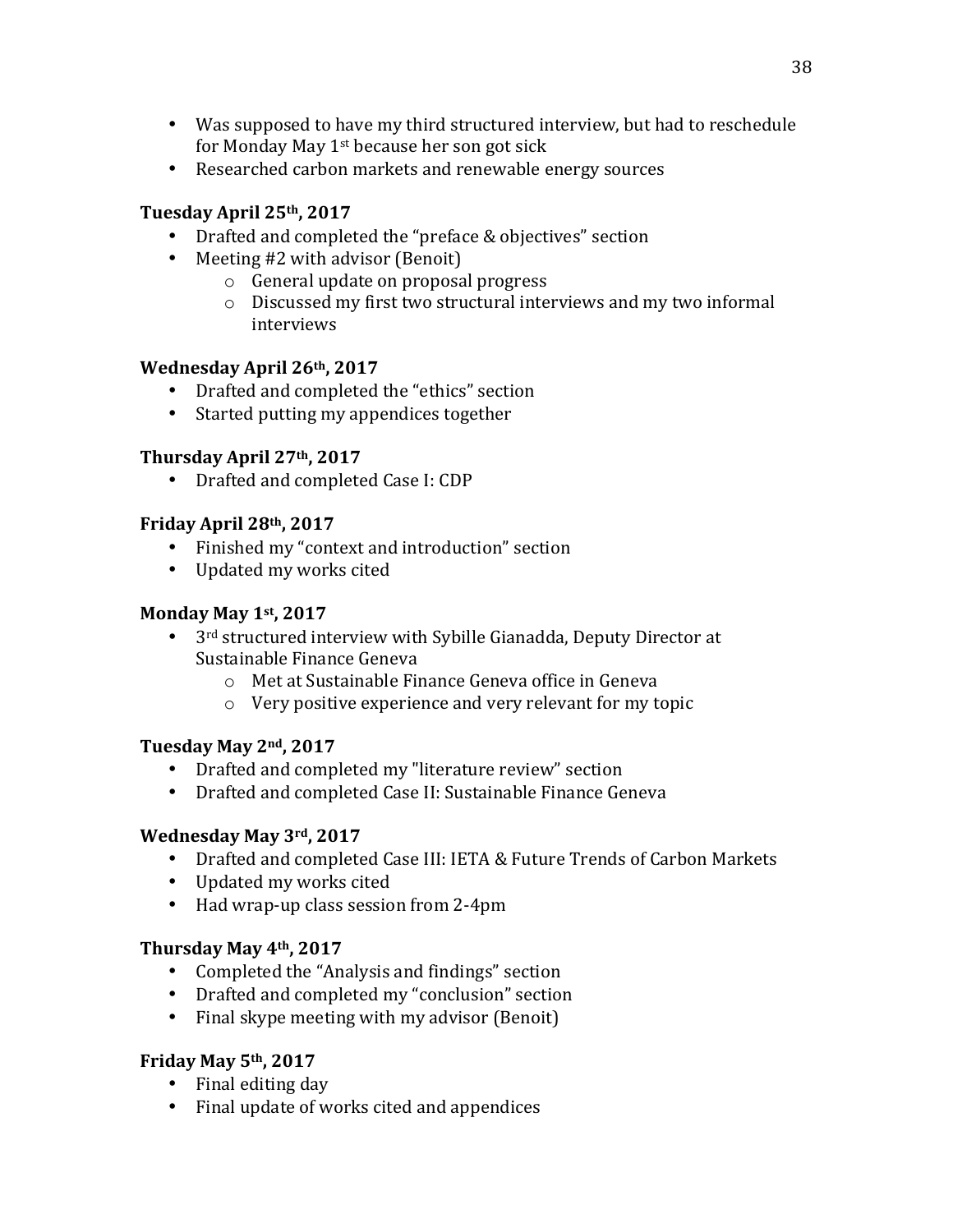- Was supposed to have my third structured interview, but had to reschedule for Monday May  $1^{st}$  because her son got sick
- Researched carbon markets and renewable energy sources

# **Tuesday April 25th, 2017**

- Drafted and completed the "preface & objectives" section
- Meeting  $#2$  with advisor (Benoit)
	- $\circ$  General update on proposal progress
	- $\circ$  Discussed my first two structural interviews and my two informal interviews

# Wednesday April 26th, 2017

- Drafted and completed the "ethics" section
- Started putting my appendices together

# **Thursday April 27th, 2017**

• Drafted and completed Case I: CDP

# **Friday April 28th, 2017**

- Finished my "context and introduction" section
- Updated my works cited

# **Monday May 1st, 2017**

- $3<sup>rd</sup>$  structured interview with Sybille Gianadda, Deputy Director at Sustainable Finance Geneva
	- o Met at Sustainable Finance Geneva office in Geneva
	- $\circ$  Very positive experience and very relevant for my topic

# **Tuesday May 2nd, 2017**

- Drafted and completed my "literature review" section
- Drafted and completed Case II: Sustainable Finance Geneva

# **Wednesday May 3rd, 2017**

- Drafted and completed Case III: IETA & Future Trends of Carbon Markets
- Updated my works cited
- Had wrap-up class session from 2-4pm

# **Thursday May 4th, 2017**

- Completed the "Analysis and findings" section
- Drafted and completed my "conclusion" section
- Final skype meeting with my advisor (Benoit)

# **Friday May 5th, 2017**

- Final editing day
- Final update of works cited and appendices